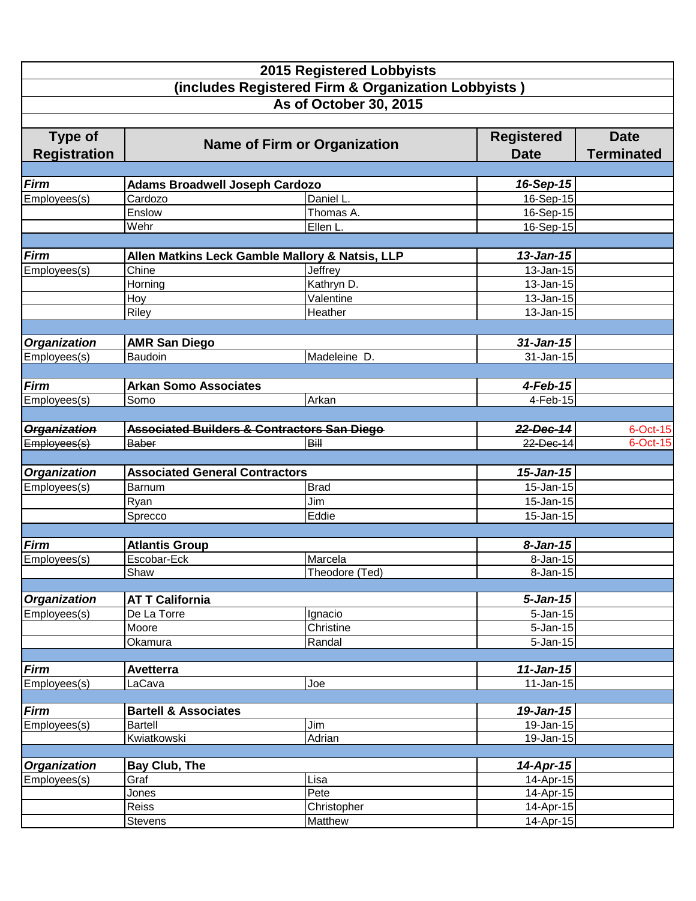|                                                                       |                                       | <b>2015 Registered Lobbyists</b><br>(includes Registered Firm & Organization Lobbyists) |                                  |                                  |
|-----------------------------------------------------------------------|---------------------------------------|-----------------------------------------------------------------------------------------|----------------------------------|----------------------------------|
|                                                                       |                                       | As of October 30, 2015                                                                  |                                  |                                  |
| Type of<br><b>Name of Firm or Organization</b><br><b>Registration</b> |                                       |                                                                                         | <b>Registered</b><br><b>Date</b> | <b>Date</b><br><b>Terminated</b> |
|                                                                       |                                       |                                                                                         |                                  |                                  |
| <b>Firm</b>                                                           | <b>Adams Broadwell Joseph Cardozo</b> |                                                                                         | 16-Sep-15                        |                                  |
| Employees(s)                                                          | Cardozo<br>Enslow                     | Daniel L.<br>Thomas A.                                                                  | 16-Sep-15                        |                                  |
|                                                                       |                                       |                                                                                         | 16-Sep-15                        |                                  |
|                                                                       | Wehr                                  | Ellen L.                                                                                | 16-Sep-15                        |                                  |
|                                                                       |                                       |                                                                                         |                                  |                                  |
| <b>Firm</b>                                                           |                                       | Allen Matkins Leck Gamble Mallory & Natsis, LLP                                         | $13$ -Jan-15                     |                                  |
| Employees(s)                                                          | Chine                                 | Jeffrey                                                                                 | 13-Jan-15                        |                                  |
|                                                                       | Horning                               | Kathryn D.                                                                              | 13-Jan-15                        |                                  |
|                                                                       | Hoy                                   | Valentine                                                                               | 13-Jan-15                        |                                  |
|                                                                       | Riley                                 | Heather                                                                                 | 13-Jan-15                        |                                  |
|                                                                       |                                       |                                                                                         |                                  |                                  |
| <b>Organization</b>                                                   | <b>AMR San Diego</b>                  |                                                                                         | $31$ -Jan-15                     |                                  |
| Employees(s)                                                          | Baudoin                               | Madeleine D.                                                                            | 31-Jan-15                        |                                  |
|                                                                       |                                       |                                                                                         |                                  |                                  |
| <b>Firm</b>                                                           | <b>Arkan Somo Associates</b>          |                                                                                         | $4$ -Feb-15                      |                                  |
| Employees(s)                                                          | Somo                                  | Arkan                                                                                   | 4-Feb-15                         |                                  |
|                                                                       |                                       |                                                                                         |                                  |                                  |
| <b>Organization</b>                                                   |                                       | <b>Associated Builders &amp; Contractors San Diego</b>                                  | 22-Dec-14                        | 6-Oct-15                         |
| Employees(s)                                                          | Baber                                 | <b>Bill</b>                                                                             | 22-Dec-14                        | 6-Oct-15                         |
|                                                                       |                                       |                                                                                         |                                  |                                  |
| <b>Organization</b>                                                   | <b>Associated General Contractors</b> |                                                                                         | $15 - Jan-15$                    |                                  |
| Employees(s)                                                          | Barnum                                | <b>Brad</b>                                                                             | 15-Jan-15                        |                                  |
|                                                                       | Ryan                                  | Jim                                                                                     | 15-Jan-15                        |                                  |
|                                                                       | Sprecco                               | Eddie                                                                                   | 15-Jan-15                        |                                  |
|                                                                       |                                       |                                                                                         |                                  |                                  |
| <b>Firm</b>                                                           | <b>Atlantis Group</b>                 |                                                                                         | 8-Jan-15                         |                                  |
| Employees(s)                                                          | Escobar-Eck                           | Marcela                                                                                 | 8-Jan-15                         |                                  |
|                                                                       | Shaw                                  | Theodore (Ted)                                                                          | 8-Jan-15                         |                                  |
| <b>Organization</b>                                                   | <b>AT T California</b>                |                                                                                         | $5 - Jan-15$                     |                                  |
| Employees(s)                                                          | De La Torre                           | Ignacio                                                                                 | $5 - Jan-15$                     |                                  |
|                                                                       | Moore                                 | Christine                                                                               | $5 - Jan - 15$                   |                                  |
|                                                                       | Okamura                               | Randal                                                                                  | $5 - Jan - 15$                   |                                  |
|                                                                       |                                       |                                                                                         |                                  |                                  |
| <b>Firm</b>                                                           | Avetterra                             |                                                                                         | $11$ -Jan-15                     |                                  |
| Employees(s)                                                          | LaCava                                | Joe                                                                                     | $11$ -Jan-15                     |                                  |
|                                                                       |                                       |                                                                                         |                                  |                                  |
| <b>Firm</b>                                                           | <b>Bartell &amp; Associates</b>       |                                                                                         | 19-Jan-15                        |                                  |
| Employees(s)                                                          | <b>Bartell</b>                        | Jim                                                                                     | 19-Jan-15                        |                                  |
|                                                                       | Kwiatkowski                           | Adrian                                                                                  | 19-Jan-15                        |                                  |
|                                                                       |                                       |                                                                                         |                                  |                                  |
| <b>Organization</b>                                                   | <b>Bay Club, The</b>                  |                                                                                         | 14-Apr-15                        |                                  |
| Employees(s)                                                          | Graf                                  | Lisa                                                                                    | 14-Apr-15                        |                                  |
|                                                                       | Jones                                 | Pete                                                                                    | 14-Apr-15                        |                                  |
|                                                                       | <b>Reiss</b>                          | Christopher                                                                             | 14-Apr-15                        |                                  |
|                                                                       | <b>Stevens</b>                        | <b>Matthew</b>                                                                          | 14-Apr-15                        |                                  |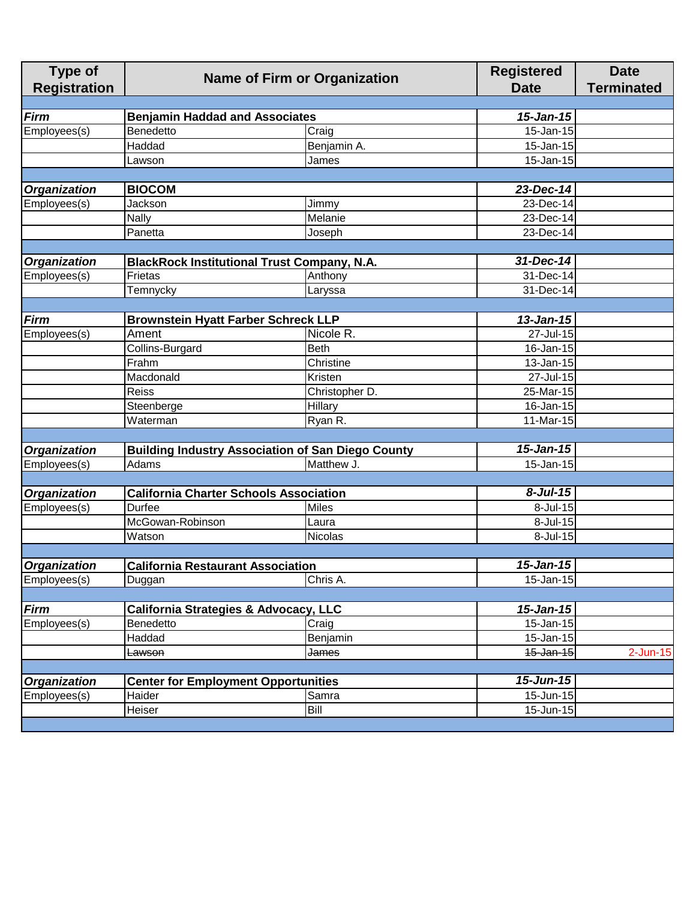| <b>Type of</b><br><b>Registration</b> | <b>Name of Firm or Organization</b>                |                                                          | <b>Registered</b><br><b>Date</b> | <b>Date</b><br><b>Terminated</b> |
|---------------------------------------|----------------------------------------------------|----------------------------------------------------------|----------------------------------|----------------------------------|
|                                       |                                                    |                                                          |                                  |                                  |
| <b>Firm</b>                           | <b>Benjamin Haddad and Associates</b>              |                                                          | $15 - Jan-15$                    |                                  |
| Employees(s)                          | Benedetto                                          | Craig                                                    | 15-Jan-15                        |                                  |
|                                       | Haddad                                             | Benjamin A.                                              | 15-Jan-15                        |                                  |
|                                       | Lawson                                             | James                                                    | 15-Jan-15                        |                                  |
|                                       |                                                    |                                                          |                                  |                                  |
| <b>Organization</b>                   | <b>BIOCOM</b>                                      |                                                          | 23-Dec-14                        |                                  |
| Employees(s)                          | Jackson                                            | Jimmy                                                    | 23-Dec-14                        |                                  |
|                                       | <b>Nally</b>                                       | Melanie                                                  | 23-Dec-14                        |                                  |
|                                       | Panetta                                            | Joseph                                                   | 23-Dec-14                        |                                  |
|                                       |                                                    |                                                          |                                  |                                  |
| <b>Organization</b>                   | <b>BlackRock Institutional Trust Company, N.A.</b> |                                                          | 31-Dec-14                        |                                  |
| Employees(s)                          | Frietas                                            | Anthony                                                  | $31$ -Dec-14                     |                                  |
|                                       | Temnycky                                           | Laryssa                                                  | 31-Dec-14                        |                                  |
|                                       |                                                    |                                                          |                                  |                                  |
| <b>Firm</b>                           | <b>Brownstein Hyatt Farber Schreck LLP</b>         |                                                          | $13$ -Jan-15                     |                                  |
| Employees(s)                          | Ament                                              | Nicole R.                                                | 27-Jul-15                        |                                  |
|                                       | Collins-Burgard                                    | <b>Beth</b>                                              | 16-Jan-15                        |                                  |
|                                       | Frahm                                              | Christine                                                | 13-Jan-15                        |                                  |
|                                       | Macdonald                                          | Kristen                                                  | 27-Jul-15                        |                                  |
|                                       | Reiss                                              | Christopher D.                                           | 25-Mar-15                        |                                  |
|                                       | Steenberge                                         | Hillary                                                  | 16-Jan-15                        |                                  |
|                                       | Waterman                                           | Ryan R.                                                  | 11-Mar-15                        |                                  |
|                                       |                                                    |                                                          |                                  |                                  |
| <b>Organization</b>                   |                                                    | <b>Building Industry Association of San Diego County</b> | $15 - Jan-15$                    |                                  |
| Employees(s)                          | Adams                                              | Matthew J.                                               | 15-Jan-15                        |                                  |
|                                       |                                                    |                                                          |                                  |                                  |
| Organization                          | <b>California Charter Schools Association</b>      |                                                          | $8$ -Jul-15                      |                                  |
| Employees(s)                          | Durfee                                             | <b>Miles</b>                                             | 8-Jul-15                         |                                  |
|                                       | McGowan-Robinson                                   | Laura                                                    | $8$ -Jul-15                      |                                  |
|                                       | Watson                                             | Nicolas                                                  | 8-Jul-15                         |                                  |
|                                       |                                                    |                                                          |                                  |                                  |
| <b>Organization</b>                   | <b>California Restaurant Association</b>           |                                                          | $15$ -Jan-15                     |                                  |
| Employees(s)                          | Duggan                                             | Chris A.                                                 | 15-Jan-15                        |                                  |
|                                       |                                                    |                                                          |                                  |                                  |
| <b>Firm</b>                           | California Strategies & Advocacy, LLC              |                                                          | $15 - Jan-15$                    |                                  |
| Employees(s)                          | Benedetto                                          | Craig                                                    | 15-Jan-15                        |                                  |
|                                       | Haddad                                             | Benjamin                                                 | 15-Jan-15                        |                                  |
|                                       | Lawson                                             | James                                                    | 15-Jan-15                        | $2$ -Jun-15                      |
|                                       |                                                    |                                                          |                                  |                                  |
| <b>Organization</b>                   | <b>Center for Employment Opportunities</b>         |                                                          | $15 - Jun-15$                    |                                  |
| Employees(s)                          | Haider                                             | Samra                                                    | $\overline{15}$ -Jun-15          |                                  |
|                                       | Heiser                                             | Bill                                                     | 15-Jun-15                        |                                  |
|                                       |                                                    |                                                          |                                  |                                  |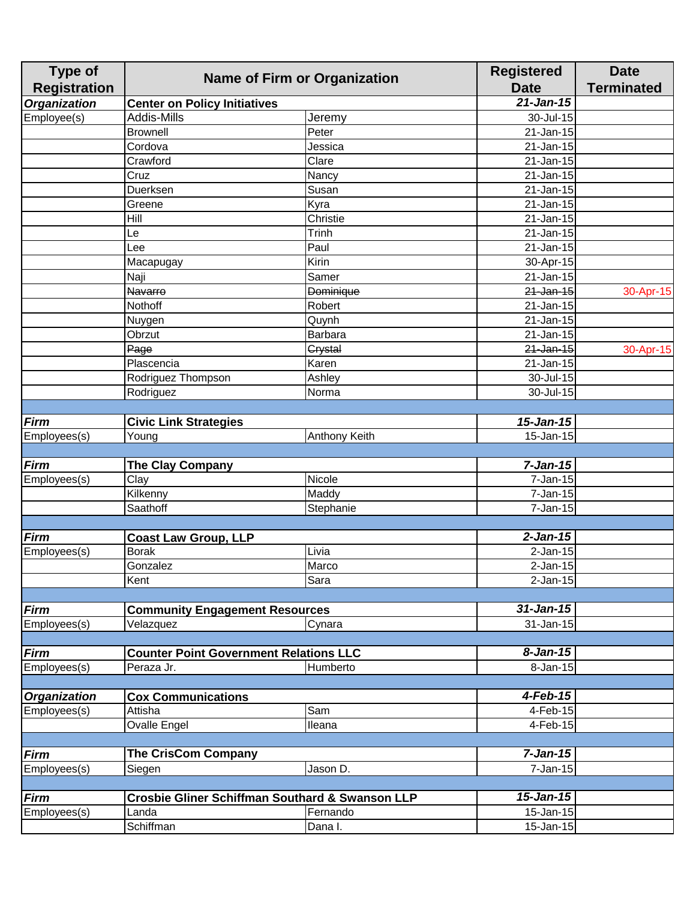| <b>Type of</b>      | <b>Name of Firm or Organization</b>           |                                                            | <b>Registered</b>       | <b>Date</b>       |
|---------------------|-----------------------------------------------|------------------------------------------------------------|-------------------------|-------------------|
| <b>Registration</b> |                                               |                                                            | <b>Date</b>             | <b>Terminated</b> |
| <b>Organization</b> | <b>Center on Policy Initiatives</b>           |                                                            | $21$ -Jan-15            |                   |
| Employee(s)         | Addis-Mills                                   | Jeremy                                                     | 30-Jul-15               |                   |
|                     | <b>Brownell</b>                               | Peter                                                      | 21-Jan-15               |                   |
|                     | Cordova                                       | Jessica                                                    | $\overline{21}$ -Jan-15 |                   |
|                     | Crawford                                      | Clare                                                      | 21-Jan-15               |                   |
|                     | Cruz                                          | Nancy                                                      | $21$ -Jan-15            |                   |
|                     | Duerksen                                      | Susan                                                      | 21-Jan-15               |                   |
|                     | Greene                                        | Kyra                                                       | $21$ -Jan-15            |                   |
|                     | Hill                                          | Christie                                                   | 21-Jan-15               |                   |
|                     | Le                                            | Trinh                                                      | 21-Jan-15               |                   |
|                     | Lee                                           | Paul                                                       | 21-Jan-15               |                   |
|                     | Macapugay                                     | Kirin                                                      | 30-Apr-15               |                   |
|                     | Naji                                          | Samer                                                      | 21-Jan-15               |                   |
|                     | <b>Navarro</b>                                | <b>Dominique</b>                                           | 21-Jan-15               | 30-Apr-15         |
|                     | Nothoff                                       | Robert                                                     | 21-Jan-15               |                   |
|                     | Nuygen                                        | Quynh                                                      | 21-Jan-15               |                   |
|                     | Obrzut                                        | Barbara                                                    | 21-Jan-15               |                   |
|                     | Page                                          | <b>Grystal</b>                                             | $21$ -Jan-15            | 30-Apr-15         |
|                     | Plascencia                                    | Karen                                                      | 21-Jan-15               |                   |
|                     | Rodriguez Thompson                            | Ashley                                                     | $\overline{30}$ -Jul-15 |                   |
|                     | Rodriguez                                     | Norma                                                      | 30-Jul-15               |                   |
|                     |                                               |                                                            |                         |                   |
| <b>Firm</b>         | <b>Civic Link Strategies</b>                  |                                                            | $15 - Jan-15$           |                   |
| Employees(s)        | Young                                         | <b>Anthony Keith</b>                                       | 15-Jan-15               |                   |
|                     |                                               |                                                            |                         |                   |
| <b>Firm</b>         | <b>The Clay Company</b>                       |                                                            | $7-Jan-15$              |                   |
| Employees(s)        | Clay                                          | Nicole                                                     | 7-Jan-15                |                   |
|                     | Kilkenny                                      | Maddy                                                      | 7-Jan-15                |                   |
|                     | Saathoff                                      | Stephanie                                                  | $7 - Jan-15$            |                   |
|                     |                                               |                                                            |                         |                   |
| <b>Firm</b>         | <b>Coast Law Group, LLP</b>                   |                                                            | $2$ -Jan-15             |                   |
| Employees(s)        | <b>Borak</b>                                  | Livia                                                      | $2$ -Jan-15             |                   |
|                     | Gonzalez                                      | Marco                                                      | $2$ -Jan-15             |                   |
|                     | Kent                                          | Sara                                                       | $2$ -Jan-15             |                   |
|                     |                                               |                                                            |                         |                   |
| <b>Firm</b>         | <b>Community Engagement Resources</b>         |                                                            | $31$ -Jan-15            |                   |
| Employees(s)        | Velazquez                                     | Cynara                                                     | 31-Jan-15               |                   |
|                     |                                               |                                                            |                         |                   |
| <b>Firm</b>         | <b>Counter Point Government Relations LLC</b> |                                                            | $8 - Jan-15$            |                   |
| Employees(s)        | Peraza Jr.                                    | Humberto                                                   | 8-Jan-15                |                   |
|                     |                                               |                                                            |                         |                   |
| <b>Organization</b> | <b>Cox Communications</b>                     |                                                            | 4-Feb-15                |                   |
| Employees(s)        | Attisha                                       | Sam                                                        | 4-Feb-15                |                   |
|                     | Ovalle Engel                                  | Ileana                                                     | 4-Feb-15                |                   |
|                     |                                               |                                                            |                         |                   |
|                     |                                               |                                                            | $7 - Jan-15$            |                   |
| <b>Firm</b>         | <b>The CrisCom Company</b>                    |                                                            |                         |                   |
| Employees(s)        | Siegen                                        | Jason D.                                                   | 7-Jan-15                |                   |
|                     |                                               |                                                            | $15 - Jan-15$           |                   |
| <b>Firm</b>         |                                               | <b>Crosbie Gliner Schiffman Southard &amp; Swanson LLP</b> |                         |                   |
| Employees(s)        | Landa                                         | Fernando                                                   | 15-Jan-15               |                   |
|                     | Schiffman                                     | Dana I.                                                    | 15-Jan-15               |                   |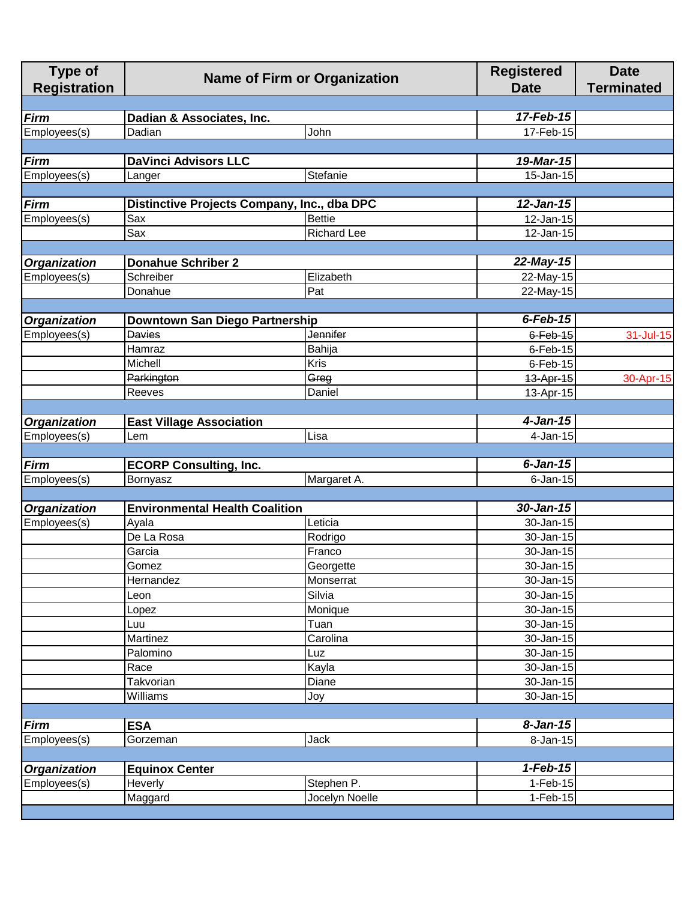| <b>Type of</b><br><b>Registration</b> | <b>Name of Firm or Organization</b>             |                                             | <b>Registered</b><br><b>Date</b> | <b>Date</b><br><b>Terminated</b> |
|---------------------------------------|-------------------------------------------------|---------------------------------------------|----------------------------------|----------------------------------|
|                                       |                                                 |                                             |                                  |                                  |
| <b>Firm</b>                           | Dadian & Associates, Inc.                       |                                             | 17-Feb-15                        |                                  |
| Employees(s)                          | Dadian                                          | John                                        | 17-Feb-15                        |                                  |
|                                       |                                                 |                                             |                                  |                                  |
| <b>Firm</b>                           | <b>DaVinci Advisors LLC</b>                     |                                             | 19-Mar-15                        |                                  |
| Employees(s)                          | Langer                                          | Stefanie                                    | 15-Jan-15                        |                                  |
|                                       |                                                 |                                             |                                  |                                  |
| <b>Firm</b>                           |                                                 | Distinctive Projects Company, Inc., dba DPC | $12$ -Jan-15                     |                                  |
| Employees(s)                          | Sax                                             | <b>Bettie</b>                               | 12-Jan-15                        |                                  |
|                                       | Sax                                             | <b>Richard Lee</b>                          | 12-Jan-15                        |                                  |
|                                       |                                                 |                                             |                                  |                                  |
| <b>Organization</b><br>Employees(s)   | <b>Donahue Schriber 2</b><br>Schreiber          | Elizabeth                                   | 22-May-15                        |                                  |
|                                       | Donahue                                         | Pat                                         | 22-May-15<br>22-May-15           |                                  |
|                                       |                                                 |                                             |                                  |                                  |
| <b>Organization</b>                   |                                                 |                                             | $6$ -Feb-15                      |                                  |
| Employees(s)                          | Downtown San Diego Partnership<br><b>Davies</b> | <b>Jennifer</b>                             | $6$ -Feb-15                      | 31-Jul-15                        |
|                                       | Hamraz                                          | Bahija                                      | $6$ -Feb-15                      |                                  |
|                                       | Michell                                         | Kris                                        | $6$ -Feb-15                      |                                  |
|                                       | <b>Parkington</b>                               | Greg                                        | 13-Apr-15                        | 30-Apr-15                        |
|                                       | Reeves                                          | Daniel                                      | 13-Apr-15                        |                                  |
|                                       |                                                 |                                             |                                  |                                  |
| <b>Organization</b>                   | <b>East Village Association</b>                 |                                             | $4$ -Jan-15                      |                                  |
| Employees(s)                          | Lem                                             | <b>Lisa</b>                                 | 4-Jan-15                         |                                  |
|                                       |                                                 |                                             |                                  |                                  |
| <b>Firm</b>                           | <b>ECORP Consulting, Inc.</b>                   |                                             | $6$ -Jan-15                      |                                  |
| Employees(s)                          | Bornyasz                                        | Margaret A.                                 | $6$ -Jan-15                      |                                  |
|                                       |                                                 |                                             |                                  |                                  |
| <b>Organization</b>                   | <b>Environmental Health Coalition</b>           |                                             | 30-Jan-15                        |                                  |
| Employees(s)                          | Ayala                                           | Leticia                                     | 30-Jan-15                        |                                  |
|                                       | De La Rosa                                      | Rodrigo                                     | 30-Jan-15                        |                                  |
|                                       | Garcia                                          | Franco                                      | 30-Jan-15                        |                                  |
|                                       | Gomez                                           | Georgette                                   | 30-Jan-15                        |                                  |
|                                       | Hernandez                                       | Monserrat                                   | 30-Jan-15                        |                                  |
|                                       | Leon                                            | Silvia                                      | 30-Jan-15                        |                                  |
|                                       | Lopez                                           | Monique                                     | 30-Jan-15                        |                                  |
|                                       | Luu                                             | Tuan                                        | 30-Jan-15                        |                                  |
|                                       | Martinez                                        | Carolina                                    | 30-Jan-15                        |                                  |
|                                       | Palomino                                        | Luz                                         | 30-Jan-15                        |                                  |
|                                       | Race                                            | Kayla                                       | 30-Jan-15                        |                                  |
|                                       | Takvorian                                       | Diane                                       | 30-Jan-15                        |                                  |
|                                       | Williams                                        | Joy                                         | 30-Jan-15                        |                                  |
|                                       |                                                 |                                             |                                  |                                  |
| <b>Firm</b>                           | <b>ESA</b>                                      |                                             | $8 - Jan-15$                     |                                  |
| Employees(s)                          | Gorzeman                                        | <b>Jack</b>                                 | 8-Jan-15                         |                                  |
|                                       |                                                 |                                             |                                  |                                  |
| <b>Organization</b>                   | <b>Equinox Center</b>                           |                                             | $1-Feb-15$                       |                                  |
| Employees(s)                          | Heverly                                         | Stephen P.<br>Jocelyn Noelle                | $1-Feb-15$<br>$1-Feb-15$         |                                  |
|                                       | Maggard                                         |                                             |                                  |                                  |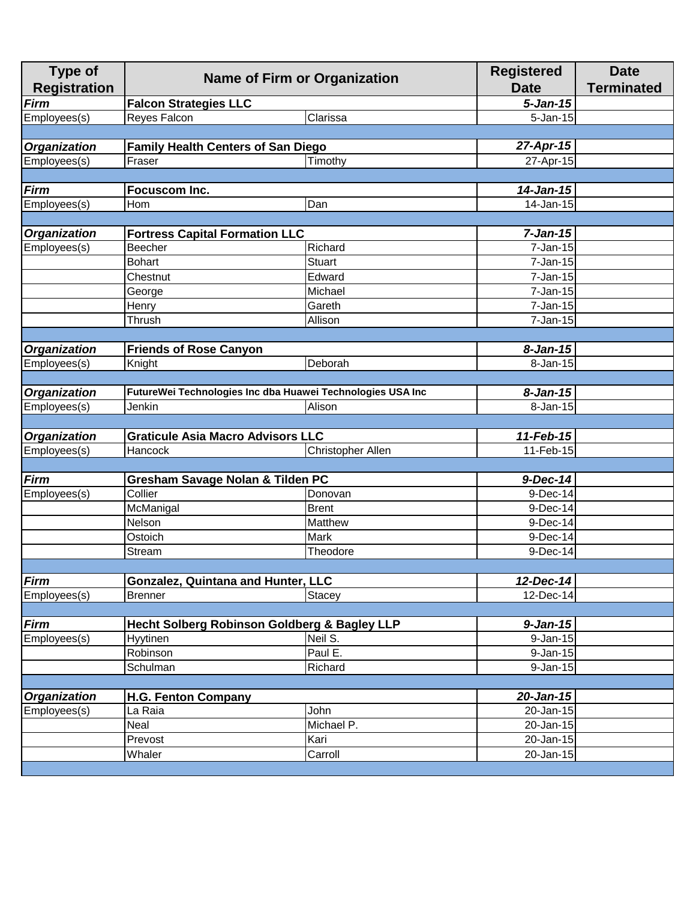| <b>Type of</b><br><b>Registration</b> | <b>Name of Firm or Organization</b>                        |                          | <b>Registered</b><br><b>Date</b> | <b>Date</b><br><b>Terminated</b> |
|---------------------------------------|------------------------------------------------------------|--------------------------|----------------------------------|----------------------------------|
| <b>Firm</b>                           | <b>Falcon Strategies LLC</b>                               |                          | $5 - Jan-15$                     |                                  |
| Employees(s)                          | Reyes Falcon                                               | Clarissa                 | 5-Jan-15                         |                                  |
|                                       |                                                            |                          |                                  |                                  |
| <b>Organization</b>                   | <b>Family Health Centers of San Diego</b>                  |                          | 27-Apr-15                        |                                  |
| Employees(s)                          | Fraser                                                     | Timothy                  | 27-Apr-15                        |                                  |
|                                       |                                                            |                          |                                  |                                  |
| <b>Firm</b>                           | Focuscom Inc.                                              |                          | $\overline{1}$ 4-Jan-15          |                                  |
| Employees(s)                          | Hom                                                        | Dan                      | 14-Jan-15                        |                                  |
|                                       |                                                            |                          |                                  |                                  |
| <b>Organization</b>                   | <b>Fortress Capital Formation LLC</b>                      |                          | $7-Jan-15$                       |                                  |
| Employees(s)                          | Beecher                                                    | Richard                  | 7-Jan-15                         |                                  |
|                                       | <b>Bohart</b>                                              | <b>Stuart</b>            | 7-Jan-15                         |                                  |
|                                       | Chestnut                                                   | Edward                   | 7-Jan-15                         |                                  |
|                                       | George                                                     | Michael                  | 7-Jan-15                         |                                  |
|                                       | Henry                                                      | Gareth                   | $7 - Jan-15$                     |                                  |
|                                       | Thrush                                                     | Allison                  | 7-Jan-15                         |                                  |
|                                       |                                                            |                          |                                  |                                  |
| <b>Organization</b>                   | <b>Friends of Rose Canyon</b>                              |                          | $8 - Jan-15$                     |                                  |
| Employees(s)                          | Knight                                                     | Deborah                  | 8-Jan-15                         |                                  |
|                                       |                                                            |                          |                                  |                                  |
| <b>Organization</b>                   | FutureWei Technologies Inc dba Huawei Technologies USA Inc |                          | $8 - Jan-15$                     |                                  |
| Employees(s)                          | Jenkin                                                     | Alison                   | 8-Jan-15                         |                                  |
|                                       |                                                            |                          |                                  |                                  |
| <b>Organization</b>                   | <b>Graticule Asia Macro Advisors LLC</b>                   |                          | 11-Feb-15                        |                                  |
| Employees(s)                          | Hancock                                                    | <b>Christopher Allen</b> | 11-Feb-15                        |                                  |
|                                       |                                                            |                          |                                  |                                  |
| <b>Firm</b>                           | Gresham Savage Nolan & Tilden PC                           |                          | 9-Dec-14                         |                                  |
| Employees(s)                          | Collier                                                    | Donovan                  | 9-Dec-14                         |                                  |
|                                       | McManigal                                                  | <b>Brent</b>             | 9-Dec-14                         |                                  |
|                                       | Nelson                                                     | <b>Matthew</b>           | 9-Dec-14                         |                                  |
|                                       | Ostoich                                                    | Mark                     | 9-Dec-14                         |                                  |
|                                       | Stream                                                     | Theodore                 | 9-Dec-14                         |                                  |
|                                       |                                                            |                          |                                  |                                  |
| <b>Firm</b>                           | <b>Gonzalez, Quintana and Hunter, LLC</b>                  |                          | 12-Dec-14                        |                                  |
| Employees(s)                          | <b>Brenner</b>                                             | Stacey                   | $12 - Dec-14$                    |                                  |
|                                       |                                                            |                          |                                  |                                  |
| <b>Firm</b>                           | <b>Hecht Solberg Robinson Goldberg &amp; Bagley LLP</b>    |                          | $9 - Jan-15$                     |                                  |
| Employees(s)                          | Hyytinen                                                   | Neil S.                  | 9-Jan-15                         |                                  |
|                                       | Robinson                                                   | Paul E.                  | $9$ -Jan-15                      |                                  |
|                                       | Schulman                                                   | Richard                  | 9-Jan-15                         |                                  |
|                                       |                                                            |                          |                                  |                                  |
| <b>Organization</b>                   | <b>H.G. Fenton Company</b>                                 |                          | 20-Jan-15                        |                                  |
| Employees(s)                          | La Raia                                                    | John                     | 20-Jan-15                        |                                  |
|                                       | Neal                                                       | Michael P.               | 20-Jan-15                        |                                  |
|                                       | Prevost                                                    | Kari                     | 20-Jan-15                        |                                  |
|                                       | Whaler                                                     | Carroll                  | 20-Jan-15                        |                                  |
|                                       |                                                            |                          |                                  |                                  |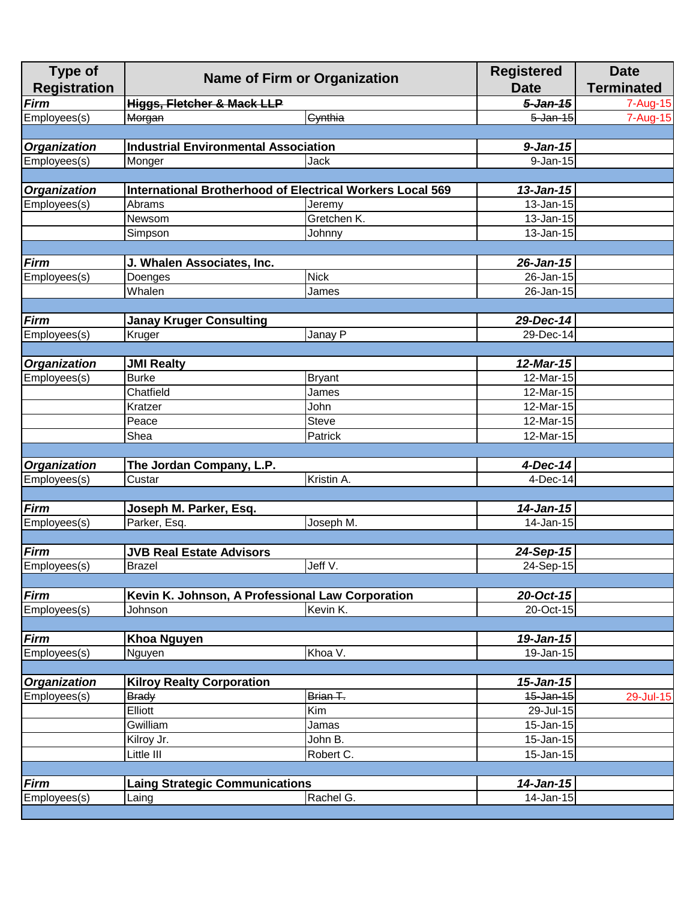| <b>Type of</b><br><b>Registration</b> | <b>Name of Firm or Organization</b>                              |               | <b>Registered</b><br><b>Date</b> | <b>Date</b><br><b>Terminated</b> |
|---------------------------------------|------------------------------------------------------------------|---------------|----------------------------------|----------------------------------|
| <b>Firm</b>                           | <b>Higgs, Fletcher &amp; Mack LLP</b>                            |               | $5 - Jan - 15$                   | 7-Aug-15                         |
| Employees(s)                          | Morgan                                                           | Cynthia       | $5$ -Jan-15                      | 7-Aug-15                         |
|                                       |                                                                  |               |                                  |                                  |
| <b>Organization</b>                   | <b>Industrial Environmental Association</b>                      |               | $9 - Jan-15$                     |                                  |
| Employees(s)                          | Monger                                                           | Jack          | $9 - Jan-15$                     |                                  |
|                                       |                                                                  |               |                                  |                                  |
| <b>Organization</b>                   | <b>International Brotherhood of Electrical Workers Local 569</b> |               | $13$ -Jan-15                     |                                  |
| Employees(s)                          | Abrams                                                           | Jeremy        | 13-Jan-15                        |                                  |
|                                       | Newsom                                                           | Gretchen K.   | 13-Jan-15                        |                                  |
|                                       | Simpson                                                          | Johnny        | 13-Jan-15                        |                                  |
|                                       |                                                                  |               |                                  |                                  |
| <b>Firm</b>                           | J. Whalen Associates, Inc.                                       |               | 26-Jan-15                        |                                  |
| Employees(s)                          | <b>Nick</b><br>Doenges                                           |               | 26-Jan-15                        |                                  |
|                                       | Whalen                                                           | James         | 26-Jan-15                        |                                  |
|                                       |                                                                  |               |                                  |                                  |
| <b>Firm</b>                           | <b>Janay Kruger Consulting</b>                                   |               | 29-Dec-14                        |                                  |
| Employees(s)                          | Kruger                                                           | Janay P       | 29-Dec-14                        |                                  |
|                                       |                                                                  |               |                                  |                                  |
| <b>Organization</b>                   | <b>JMI Realty</b>                                                |               | 12-Mar-15                        |                                  |
| Employees(s)                          | <b>Burke</b>                                                     | <b>Bryant</b> | 12-Mar-15                        |                                  |
|                                       | Chatfield                                                        | James         | 12-Mar-15                        |                                  |
|                                       | Kratzer                                                          | John          | 12-Mar-15                        |                                  |
|                                       | Peace                                                            | <b>Steve</b>  | 12-Mar-15                        |                                  |
|                                       | Shea                                                             | Patrick       | 12-Mar-15                        |                                  |
|                                       |                                                                  |               |                                  |                                  |
| <b>Organization</b>                   | The Jordan Company, L.P.                                         |               | 4-Dec-14                         |                                  |
| Employees(s)                          | Custar                                                           | Kristin A.    | 4-Dec-14                         |                                  |
|                                       |                                                                  |               |                                  |                                  |
| <b>Firm</b>                           | Joseph M. Parker, Esq.                                           |               | 14-Jan-15                        |                                  |
| Employees(s)                          | Parker, Esq.                                                     | Joseph M.     | 14-Jan-15                        |                                  |
|                                       |                                                                  |               |                                  |                                  |
| <b>Firm</b>                           | <b>JVB Real Estate Advisors</b>                                  |               | 24-Sep-15                        |                                  |
| Employees(s)                          | <b>Brazel</b>                                                    | Jeff V.       | 24-Sep-15                        |                                  |
|                                       |                                                                  |               |                                  |                                  |
| <b>Firm</b>                           | Kevin K. Johnson, A Professional Law Corporation                 |               | 20-Oct-15                        |                                  |
| Employees(s)                          | Johnson                                                          | Kevin K.      | 20-Oct-15                        |                                  |
|                                       |                                                                  |               |                                  |                                  |
| <b>Firm</b>                           | <b>Khoa Nguyen</b>                                               |               | 19-Jan-15                        |                                  |
| Employees(s)                          | Nguyen                                                           | Khoa V.       | 19-Jan-15                        |                                  |
|                                       |                                                                  |               |                                  |                                  |
| <b>Organization</b>                   | <b>Kilroy Realty Corporation</b>                                 |               | $15 - Jan-15$                    |                                  |
| Employees(s)                          | <b>Brady</b>                                                     | Brian T.      | 15-Jan-15                        | 29-Jul-15                        |
|                                       | Elliott<br>Kim                                                   |               | 29-Jul-15                        |                                  |
|                                       | Gwilliam                                                         |               |                                  |                                  |
|                                       |                                                                  | Jamas         | 15-Jan-15<br>15-Jan-15           |                                  |
|                                       | Kilroy Jr.                                                       | John B.       |                                  |                                  |
|                                       | Little III                                                       | Robert C.     | 15-Jan-15                        |                                  |
|                                       |                                                                  |               |                                  |                                  |
| <b>Firm</b>                           | <b>Laing Strategic Communications</b>                            |               | 14-Jan-15                        |                                  |
| Employees(s)                          | Laing                                                            | Rachel G.     | 14-Jan-15                        |                                  |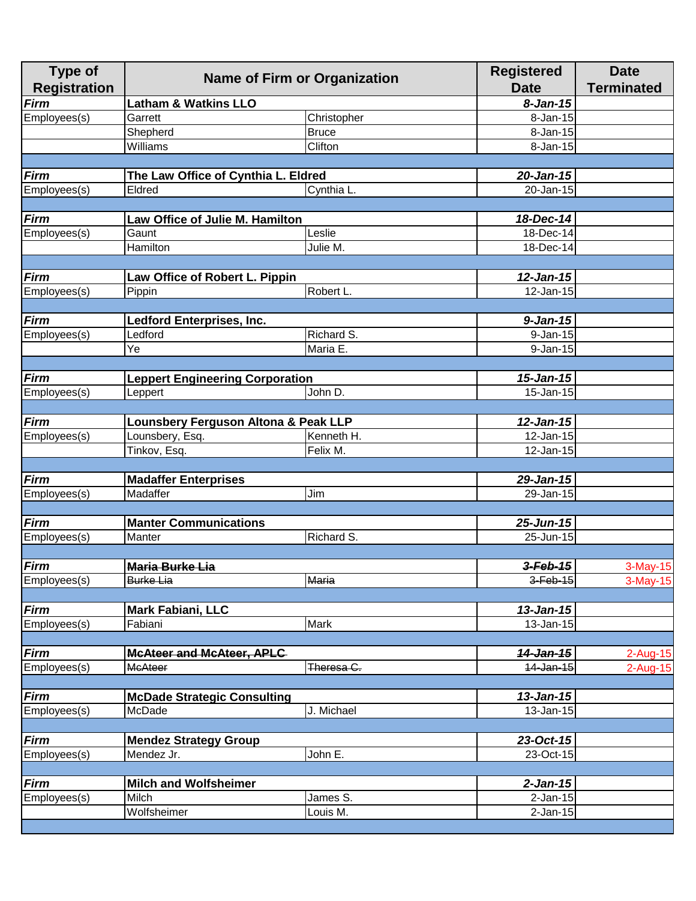| <b>Type of</b><br><b>Registration</b> | <b>Name of Firm or Organization</b>    |              | <b>Registered</b><br><b>Date</b> | <b>Date</b><br><b>Terminated</b> |
|---------------------------------------|----------------------------------------|--------------|----------------------------------|----------------------------------|
| Firm                                  | <b>Latham &amp; Watkins LLO</b>        |              | $8 - Jan-15$                     |                                  |
| Employees(s)                          | Garrett                                | Christopher  | 8-Jan-15                         |                                  |
|                                       | Shepherd                               | <b>Bruce</b> | 8-Jan-15                         |                                  |
|                                       | Williams                               | Clifton      | 8-Jan-15                         |                                  |
|                                       |                                        |              |                                  |                                  |
| Firm                                  | The Law Office of Cynthia L. Eldred    |              | 20-Jan-15                        |                                  |
| Employees(s)                          | Eldred                                 | Cynthia L    | 20-Jan-15                        |                                  |
|                                       |                                        |              |                                  |                                  |
| <b>Firm</b>                           | Law Office of Julie M. Hamilton        |              | 18-Dec-14                        |                                  |
| Employees(s)                          | Gaunt                                  | Leslie       | 18-Dec-14                        |                                  |
|                                       | Hamilton                               | Julie M.     | 18-Dec-14                        |                                  |
|                                       |                                        |              |                                  |                                  |
| <b>Firm</b>                           | Law Office of Robert L. Pippin         |              | $12$ -Jan-15                     |                                  |
| Employees(s)                          | Pippin                                 | Robert L.    | 12-Jan-15                        |                                  |
|                                       |                                        |              |                                  |                                  |
| <b>Firm</b>                           | <b>Ledford Enterprises, Inc.</b>       |              | $9 - Jan-15$                     |                                  |
| Employees(s)                          | Ledford                                | Richard S.   | 9-Jan-15                         |                                  |
|                                       | Ye                                     | Maria E.     | 9-Jan-15                         |                                  |
|                                       |                                        |              |                                  |                                  |
| <b>Firm</b>                           | <b>Leppert Engineering Corporation</b> |              | $15 - Jan-15$                    |                                  |
| Employees(s)                          | Leppert                                | John D.      | 15-Jan-15                        |                                  |
|                                       |                                        |              |                                  |                                  |
| <b>Firm</b>                           | Lounsbery Ferguson Altona & Peak LLP   |              | 12-Jan-15                        |                                  |
| Employees(s)                          | Lounsbery, Esq.                        | Kenneth H.   | 12-Jan-15                        |                                  |
|                                       | Tinkov, Esq.                           | Felix M.     | 12-Jan-15                        |                                  |
|                                       |                                        |              |                                  |                                  |
| Firm                                  | <b>Madaffer Enterprises</b>            |              | 29-Jan-15                        |                                  |
| Employees(s)                          | Madaffer                               | Jim          | 29-Jan-15                        |                                  |
|                                       |                                        |              |                                  |                                  |
| <b>Firm</b>                           | <b>Manter Communications</b>           |              | $25$ -Jun-15                     |                                  |
| Employees(s)                          | Manter                                 | Richard S.   | 25-Jun-15                        |                                  |
|                                       |                                        |              |                                  |                                  |
| <b>Firm</b>                           | <b>Maria Burke Lia</b>                 |              | $3$ -Feb-15                      | 3-May-15                         |
| Employees(s)                          | Burke Lia                              | <b>Maria</b> | $3$ -Feb-15                      | 3-May-15                         |
|                                       |                                        |              |                                  |                                  |
| <b>Firm</b>                           | <b>Mark Fabiani, LLC</b>               |              | $13$ -Jan-15                     |                                  |
| Employees(s)                          | Fabiani                                | <b>Mark</b>  | 13-Jan-15                        |                                  |
|                                       |                                        |              |                                  |                                  |
| <b>Firm</b>                           | <b>McAteer and McAteer, APLC</b>       |              | 14-Jan-15                        | 2-Aug-15                         |
| Employees(s)                          | <b>McAteer</b>                         | Theresa C.   | 14-Jan-15                        | $2$ -Aug-15                      |
|                                       |                                        |              |                                  |                                  |
| <b>Firm</b>                           | <b>McDade Strategic Consulting</b>     |              | $13$ -Jan-15                     |                                  |
| Employees(s)                          | McDade                                 | J. Michael   | 13-Jan-15                        |                                  |
|                                       |                                        |              |                                  |                                  |
| <b>Firm</b>                           | <b>Mendez Strategy Group</b>           |              | 23-Oct-15                        |                                  |
| Employees(s)                          | Mendez Jr.                             | John E.      | 23-Oct-15                        |                                  |
|                                       |                                        |              |                                  |                                  |
| <b>Firm</b>                           | <b>Milch and Wolfsheimer</b>           |              | $2$ -Jan-15                      |                                  |
| Employees(s)                          | <b>Milch</b>                           | James S.     | $2$ -Jan-15                      |                                  |
|                                       | Wolfsheimer                            | Louis M.     | $2$ -Jan-15                      |                                  |
|                                       |                                        |              |                                  |                                  |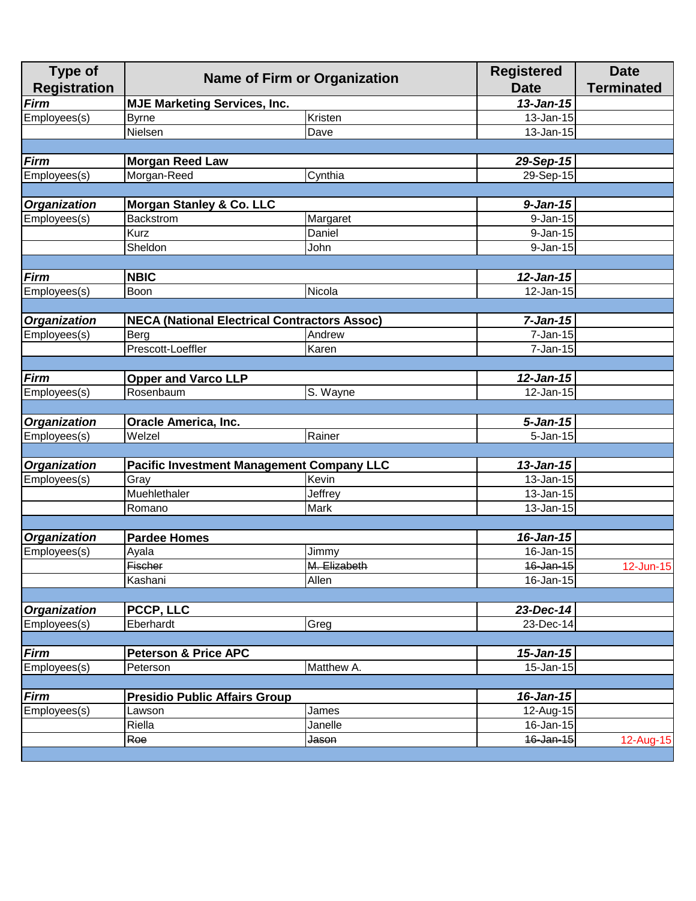| <b>Type of</b><br><b>Registration</b> | <b>Name of Firm or Organization</b><br><b>MJE Marketing Services, Inc.</b> |                                                     | <b>Registered</b><br><b>Date</b> | <b>Date</b><br><b>Terminated</b> |
|---------------------------------------|----------------------------------------------------------------------------|-----------------------------------------------------|----------------------------------|----------------------------------|
| Firm                                  |                                                                            |                                                     | $13$ -Jan-15                     |                                  |
| Employees(s)                          | <b>Byrne</b>                                                               | Kristen                                             | 13-Jan-15                        |                                  |
|                                       | Nielsen                                                                    | Dave                                                | 13-Jan-15                        |                                  |
|                                       |                                                                            |                                                     |                                  |                                  |
| <b>Firm</b>                           | <b>Morgan Reed Law</b>                                                     |                                                     | 29-Sep-15                        |                                  |
| Employees(s)                          | Morgan-Reed                                                                | Cynthia                                             | 29-Sep-15                        |                                  |
|                                       |                                                                            |                                                     |                                  |                                  |
| <b>Organization</b>                   | <b>Morgan Stanley &amp; Co. LLC</b>                                        |                                                     | $9 - Jan-15$                     |                                  |
| Employees(s)                          | <b>Backstrom</b>                                                           | Margaret                                            | $9 - Jan-15$                     |                                  |
|                                       | <b>Kurz</b>                                                                | Daniel                                              | 9-Jan-15                         |                                  |
|                                       | Sheldon                                                                    | John                                                | 9-Jan-15                         |                                  |
|                                       |                                                                            |                                                     |                                  |                                  |
| <b>Firm</b>                           | <b>NBIC</b>                                                                |                                                     | $12$ -Jan-15                     |                                  |
| Employees(s)                          | Boon                                                                       | Nicola                                              | 12-Jan-15                        |                                  |
|                                       |                                                                            |                                                     |                                  |                                  |
| <b>Organization</b>                   |                                                                            | <b>NECA (National Electrical Contractors Assoc)</b> | $7-Jan-15$                       |                                  |
| Employees(s)                          | Berg                                                                       | Andrew                                              | 7-Jan-15                         |                                  |
|                                       | Prescott-Loeffler                                                          | Karen                                               | 7-Jan-15                         |                                  |
|                                       |                                                                            |                                                     |                                  |                                  |
| <b>Firm</b>                           | <b>Opper and Varco LLP</b>                                                 |                                                     | $12$ -Jan-15                     |                                  |
| Employees(s)                          | Rosenbaum                                                                  | S. Wayne                                            | 12-Jan-15                        |                                  |
|                                       |                                                                            |                                                     |                                  |                                  |
| <b>Organization</b>                   | <b>Oracle America, Inc.</b>                                                |                                                     | $5 - Jan-15$                     |                                  |
| Employees(s)                          | Welzel                                                                     | Rainer                                              | $5 - Jan-15$                     |                                  |
|                                       |                                                                            |                                                     |                                  |                                  |
| <b>Organization</b>                   |                                                                            | <b>Pacific Investment Management Company LLC</b>    | $13$ -Jan-15                     |                                  |
| Employees(s)                          | Gray                                                                       | Kevin                                               | 13-Jan-15                        |                                  |
|                                       | Muehlethaler                                                               | Jeffrey                                             | 13-Jan-15                        |                                  |
|                                       | Romano                                                                     | Mark                                                | 13-Jan-15                        |                                  |
|                                       |                                                                            |                                                     |                                  |                                  |
| <b>Organization</b>                   | <b>Pardee Homes</b>                                                        |                                                     | 16-Jan-15                        |                                  |
| Employees(s)                          | Ayala                                                                      | Jimmy                                               | 16-Jan-15                        |                                  |
|                                       | Fischer                                                                    | M. Elizabeth                                        | 16-Jan-15                        | 12-Jun-15                        |
|                                       | Kashani                                                                    | Allen                                               | 16-Jan-15                        |                                  |
|                                       |                                                                            |                                                     |                                  |                                  |
| <b>Organization</b>                   | PCCP, LLC                                                                  |                                                     | 23-Dec-14                        |                                  |
| Employees(s)                          | Eberhardt                                                                  | Greg                                                | 23-Dec-14                        |                                  |
|                                       |                                                                            |                                                     |                                  |                                  |
| Firm                                  | <b>Peterson &amp; Price APC</b>                                            |                                                     | $15 - Jan-15$                    |                                  |
| Employees(s)                          | Peterson                                                                   | Matthew A.                                          | 15-Jan-15                        |                                  |
|                                       |                                                                            |                                                     |                                  |                                  |
| <b>Firm</b>                           | <b>Presidio Public Affairs Group</b>                                       |                                                     | 16-Jan-15                        |                                  |
| Employees(s)                          | Lawson                                                                     | James                                               | 12-Aug-15                        |                                  |
|                                       | Riella                                                                     | Janelle                                             | 16-Jan-15                        |                                  |
|                                       | Roe                                                                        | Jason                                               | 16-Jan-15                        | 12-Aug-15                        |
|                                       |                                                                            |                                                     |                                  |                                  |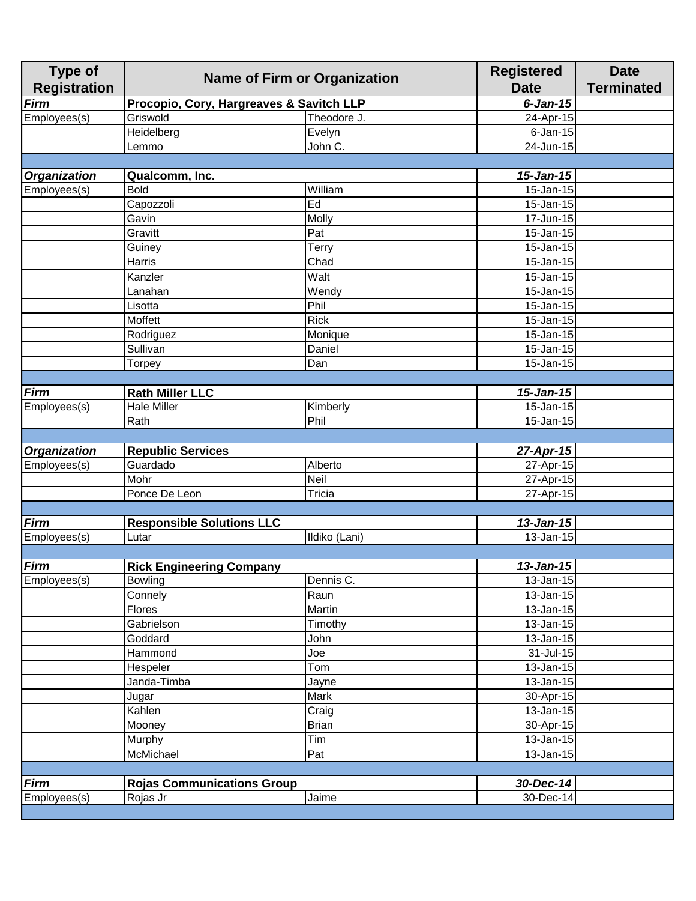| <b>Type of</b><br><b>Registration</b> | <b>Name of Firm or Organization</b>           |               | <b>Registered</b><br><b>Date</b> | <b>Date</b><br><b>Terminated</b> |
|---------------------------------------|-----------------------------------------------|---------------|----------------------------------|----------------------------------|
| <b>Firm</b>                           | Procopio, Cory, Hargreaves & Savitch LLP      |               | $6$ -Jan-15                      |                                  |
| Employees(s)                          | Griswold                                      | Theodore J.   | 24-Apr-15                        |                                  |
|                                       | Heidelberg                                    | Evelyn        | $6$ -Jan-15                      |                                  |
|                                       | Lemmo                                         | John C.       | $\overline{24}$ -Jun-15          |                                  |
|                                       |                                               |               |                                  |                                  |
| <b>Organization</b>                   | Qualcomm, Inc.                                |               | $15 - Jan-15$                    |                                  |
| Employees(s)                          | <b>Bold</b>                                   | William       | 15-Jan-15                        |                                  |
|                                       | Capozzoli                                     | Ed            | 15-Jan-15                        |                                  |
|                                       | Gavin                                         | Molly         | 17-Jun-15                        |                                  |
|                                       | Gravitt                                       | Pat           | 15-Jan-15                        |                                  |
|                                       | Guiney                                        | Terry         | $\overline{1}$ 5-Jan-15          |                                  |
|                                       | Harris                                        | Chad          | 15-Jan-15                        |                                  |
|                                       | Kanzler                                       | Walt          | 15-Jan-15                        |                                  |
|                                       | Lanahan                                       | Wendy         | $\overline{15}$ -Jan-15          |                                  |
|                                       | Lisotta                                       | Phil          | 15-Jan-15                        |                                  |
|                                       | Moffett                                       | <b>Rick</b>   | 15-Jan-15                        |                                  |
|                                       | Rodriguez                                     | Monique       | 15-Jan-15                        |                                  |
|                                       | Sullivan                                      | Daniel        | 15-Jan-15                        |                                  |
|                                       | Torpey                                        | Dan           | $15 - Jan-15$                    |                                  |
|                                       |                                               |               |                                  |                                  |
| <b>Firm</b>                           | <b>Rath Miller LLC</b>                        |               | 15-Jan-15                        |                                  |
| Employees(s)                          | <b>Hale Miller</b>                            | Kimberly      | 15-Jan-15                        |                                  |
|                                       | Rath                                          | Phil          | 15-Jan-15                        |                                  |
|                                       |                                               |               |                                  |                                  |
| <b>Organization</b>                   | <b>Republic Services</b>                      |               | 27-Apr-15                        |                                  |
| Employees(s)                          | Guardado                                      | Alberto       | 27-Apr-15                        |                                  |
|                                       | Mohr                                          | Neil          | 27-Apr-15                        |                                  |
|                                       | Ponce De Leon                                 | Tricia        | 27-Apr-15                        |                                  |
|                                       |                                               |               |                                  |                                  |
| <b>Firm</b>                           | <b>Responsible Solutions LLC</b>              |               | $13$ -Jan-15                     |                                  |
| Employees(s)                          | Lutar                                         | Ildiko (Lani) | 13-Jan-15                        |                                  |
|                                       |                                               |               |                                  |                                  |
| <b>Firm</b>                           | <b>Rick Engineering Company</b>               |               | $13$ -Jan-15                     |                                  |
| Employees(s)                          | <b>Bowling</b>                                | Dennis C.     | 13-Jan-15                        |                                  |
|                                       | Connely                                       | Raun          | 13-Jan-15                        |                                  |
|                                       | <b>Flores</b>                                 | Martin        | 13-Jan-15                        |                                  |
|                                       | Gabrielson                                    | Timothy       | 13-Jan-15                        |                                  |
|                                       | Goddard                                       | John          | 13-Jan-15                        |                                  |
|                                       | Hammond                                       | Joe           | 31-Jul-15                        |                                  |
|                                       | Hespeler                                      | Tom           | 13-Jan-15                        |                                  |
|                                       | Janda-Timba                                   | Jayne         | 13-Jan-15                        |                                  |
|                                       | Jugar                                         | Mark          | 30-Apr-15                        |                                  |
|                                       | Kahlen                                        | Craig         | 13-Jan-15                        |                                  |
|                                       | Mooney                                        | <b>Brian</b>  | 30-Apr-15                        |                                  |
|                                       | Murphy                                        | Tim           | 13-Jan-15                        |                                  |
|                                       | McMichael                                     | Pat           | 13-Jan-15                        |                                  |
|                                       |                                               |               |                                  |                                  |
|                                       |                                               |               |                                  |                                  |
| <b>Firm</b><br>Employees(s)           | <b>Rojas Communications Group</b><br>Rojas Jr | Jaime         | 30-Dec-14<br>30-Dec-14           |                                  |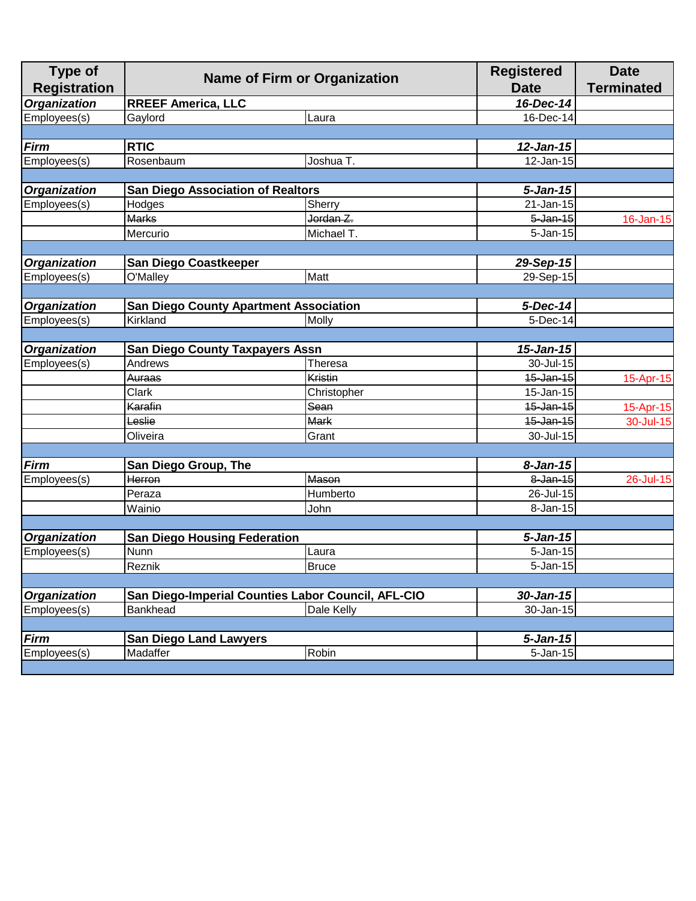| <b>Type of</b>      |                                          |                                                    | <b>Registered</b> | <b>Date</b>       |
|---------------------|------------------------------------------|----------------------------------------------------|-------------------|-------------------|
| <b>Registration</b> |                                          | <b>Name of Firm or Organization</b>                | <b>Date</b>       | <b>Terminated</b> |
| <b>Organization</b> | <b>RREEF America, LLC</b>                |                                                    | 16-Dec-14         |                   |
| Employees(s)        | Gaylord                                  | Laura                                              | 16-Dec-14         |                   |
|                     |                                          |                                                    |                   |                   |
| <b>Firm</b>         | <b>RTIC</b>                              |                                                    | $12$ -Jan-15      |                   |
| Employees(s)        | Rosenbaum                                | Joshua T.                                          | 12-Jan-15         |                   |
|                     |                                          |                                                    |                   |                   |
| <b>Organization</b> | <b>San Diego Association of Realtors</b> |                                                    | $5 - Jan-15$      |                   |
| Employees(s)        | Hodges                                   | Sherry                                             | 21-Jan-15         |                   |
|                     | <b>Marks</b>                             | Jordan Z.                                          | $5$ -Jan-15       | 16-Jan-15         |
|                     | Mercurio                                 | Michael T.                                         | $5 - Jan-15$      |                   |
|                     |                                          |                                                    |                   |                   |
| <b>Organization</b> | <b>San Diego Coastkeeper</b>             |                                                    | 29-Sep-15         |                   |
| Employees(s)        | O'Malley                                 | Matt                                               | 29-Sep-15         |                   |
|                     |                                          |                                                    |                   |                   |
| <b>Organization</b> |                                          | <b>San Diego County Apartment Association</b>      | 5-Dec-14          |                   |
| Employees(s)        | Kirkland                                 | Molly                                              | 5-Dec-14          |                   |
|                     |                                          |                                                    |                   |                   |
| <b>Organization</b> | <b>San Diego County Taxpayers Assn</b>   |                                                    | $15 - Jan-15$     |                   |
| Employees(s)        | Andrews                                  | Theresa                                            | 30-Jul-15         |                   |
|                     | Auraas                                   | <b>Kristin</b>                                     | 15-Jan-15         | 15-Apr-15         |
|                     | Clark                                    | Christopher                                        | 15-Jan-15         |                   |
|                     | Karafin                                  | Sean                                               | $15$ -Jan-15      | 15-Apr-15         |
|                     | Leslie                                   | <b>Mark</b>                                        | 15-Jan-15         | 30-Jul-15         |
|                     | Oliveira                                 | Grant                                              | 30-Jul-15         |                   |
|                     |                                          |                                                    |                   |                   |
| <b>Firm</b>         | San Diego Group, The                     |                                                    | $8 - Jan-15$      |                   |
| Employees(s)        | Herron                                   | <b>Mason</b>                                       | 8-Jan-15          | 26-Jul-15         |
|                     | Peraza                                   | Humberto                                           | 26-Jul-15         |                   |
|                     | Wainio                                   | John                                               | 8-Jan-15          |                   |
|                     |                                          |                                                    |                   |                   |
| <b>Organization</b> | <b>San Diego Housing Federation</b>      |                                                    | $5 - Jan-15$      |                   |
| Employees(s)        | Nunn                                     | Laura                                              | 5-Jan-15          |                   |
|                     | Reznik                                   | <b>Bruce</b>                                       | $5 - Jan-15$      |                   |
|                     |                                          |                                                    |                   |                   |
| <b>Organization</b> |                                          | San Diego-Imperial Counties Labor Council, AFL-CIO | 30-Jan-15         |                   |
| Employees(s)        | Bankhead                                 | Dale Kelly                                         | 30-Jan-15         |                   |
|                     |                                          |                                                    |                   |                   |
| <b>Firm</b>         | <b>San Diego Land Lawyers</b>            |                                                    | $5 - Jan-15$      |                   |
| Employees(s)        | Madaffer                                 | Robin                                              | 5-Jan-15          |                   |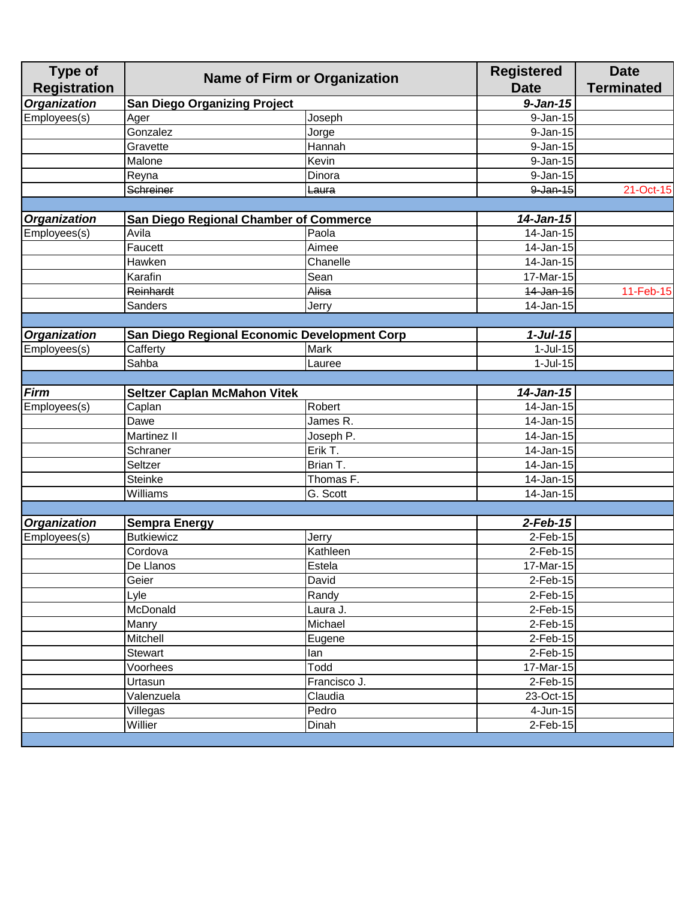| Organization<br>$9 - Jan-15$<br><b>San Diego Organizing Project</b><br>Employees(s)<br>$9 - Jan-15$<br>Ager<br>Joseph<br>Gonzalez<br>9-Jan-15<br>Jorge<br>Gravette<br>$9 - Jan-15$<br>Hannah<br>Malone<br>9-Jan-15<br>Kevin<br>9-Jan-15<br>Reyna<br>Dinora<br>Schreiner<br>$9$ -Jan-15<br>21-Oct-15<br>Laura<br>14-Jan-15<br><b>Organization</b><br>San Diego Regional Chamber of Commerce<br>Employees(s)<br>Avila<br>14-Jan-15<br>Paola<br>$\overline{1}$ 4-Jan-15<br>Faucett<br>Aimee<br>14-Jan-15<br>Chanelle<br>Hawken<br>Karafin<br>Sean<br>17-Mar-15<br><b>Reinhardt</b><br>$11-Feb-15$<br>Alisa<br>14-Jan-15<br>14-Jan-15<br>Sanders<br>Jerry<br>$1-Jul-15$<br><b>Organization</b><br>San Diego Regional Economic Development Corp<br>Employees(s)<br>Cafferty<br>Mark<br>$1-Jul-15$<br>$1-Jul-15$<br>Sahba<br>Lauree<br><b>Firm</b><br>14-Jan-15<br><b>Seltzer Caplan McMahon Vitek</b><br>14-Jan-15<br>Employees(s)<br>Caplan<br>Robert<br>14-Jan-15<br>Dawe<br>James R.<br>Martinez II<br>14-Jan-15<br>Joseph P.<br>Erik T.<br>Schraner<br>14-Jan-15<br>Seltzer<br>Brian T.<br>14-Jan-15<br><b>Steinke</b><br>14-Jan-15<br>Thomas F.<br>Williams<br>14-Jan-15<br>G. Scott<br>Organization<br>$2$ -Feb-15<br><b>Sempra Energy</b><br>Employees(s)<br><b>Butkiewicz</b><br>$2$ -Feb-15<br>Jerry<br>$2$ -Feb-15<br>Cordova<br>Kathleen<br>17-Mar-15<br>Estela<br>De Llanos<br>Geier<br>David<br>2-Feb-15<br>Randy<br>Lyle<br>2-Feb-15<br>McDonald<br>$2$ -Feb-15<br>Laura J.<br>Michael<br>2-Feb-15<br>Manry<br>Mitchell<br>2-Feb-15<br>Eugene<br>2-Feb-15<br><b>Stewart</b><br>lan<br>Todd<br>17-Mar-15<br>Voorhees<br>2-Feb-15<br>Francisco J.<br>Urtasun<br>Valenzuela<br>Claudia<br>23-Oct-15<br>Villegas<br>Pedro<br>4-Jun-15<br>Willier<br>Dinah<br>$2$ -Feb-15 | <b>Type of</b><br><b>Registration</b> | <b>Name of Firm or Organization</b> |  | <b>Registered</b><br><b>Date</b> | <b>Date</b><br><b>Terminated</b> |
|-------------------------------------------------------------------------------------------------------------------------------------------------------------------------------------------------------------------------------------------------------------------------------------------------------------------------------------------------------------------------------------------------------------------------------------------------------------------------------------------------------------------------------------------------------------------------------------------------------------------------------------------------------------------------------------------------------------------------------------------------------------------------------------------------------------------------------------------------------------------------------------------------------------------------------------------------------------------------------------------------------------------------------------------------------------------------------------------------------------------------------------------------------------------------------------------------------------------------------------------------------------------------------------------------------------------------------------------------------------------------------------------------------------------------------------------------------------------------------------------------------------------------------------------------------------------------------------------------------------------------------------------------------------------------------------------------------------------------------------------------------------------------------|---------------------------------------|-------------------------------------|--|----------------------------------|----------------------------------|
|                                                                                                                                                                                                                                                                                                                                                                                                                                                                                                                                                                                                                                                                                                                                                                                                                                                                                                                                                                                                                                                                                                                                                                                                                                                                                                                                                                                                                                                                                                                                                                                                                                                                                                                                                                               |                                       |                                     |  |                                  |                                  |
|                                                                                                                                                                                                                                                                                                                                                                                                                                                                                                                                                                                                                                                                                                                                                                                                                                                                                                                                                                                                                                                                                                                                                                                                                                                                                                                                                                                                                                                                                                                                                                                                                                                                                                                                                                               |                                       |                                     |  |                                  |                                  |
|                                                                                                                                                                                                                                                                                                                                                                                                                                                                                                                                                                                                                                                                                                                                                                                                                                                                                                                                                                                                                                                                                                                                                                                                                                                                                                                                                                                                                                                                                                                                                                                                                                                                                                                                                                               |                                       |                                     |  |                                  |                                  |
|                                                                                                                                                                                                                                                                                                                                                                                                                                                                                                                                                                                                                                                                                                                                                                                                                                                                                                                                                                                                                                                                                                                                                                                                                                                                                                                                                                                                                                                                                                                                                                                                                                                                                                                                                                               |                                       |                                     |  |                                  |                                  |
|                                                                                                                                                                                                                                                                                                                                                                                                                                                                                                                                                                                                                                                                                                                                                                                                                                                                                                                                                                                                                                                                                                                                                                                                                                                                                                                                                                                                                                                                                                                                                                                                                                                                                                                                                                               |                                       |                                     |  |                                  |                                  |
|                                                                                                                                                                                                                                                                                                                                                                                                                                                                                                                                                                                                                                                                                                                                                                                                                                                                                                                                                                                                                                                                                                                                                                                                                                                                                                                                                                                                                                                                                                                                                                                                                                                                                                                                                                               |                                       |                                     |  |                                  |                                  |
|                                                                                                                                                                                                                                                                                                                                                                                                                                                                                                                                                                                                                                                                                                                                                                                                                                                                                                                                                                                                                                                                                                                                                                                                                                                                                                                                                                                                                                                                                                                                                                                                                                                                                                                                                                               |                                       |                                     |  |                                  |                                  |
|                                                                                                                                                                                                                                                                                                                                                                                                                                                                                                                                                                                                                                                                                                                                                                                                                                                                                                                                                                                                                                                                                                                                                                                                                                                                                                                                                                                                                                                                                                                                                                                                                                                                                                                                                                               |                                       |                                     |  |                                  |                                  |
|                                                                                                                                                                                                                                                                                                                                                                                                                                                                                                                                                                                                                                                                                                                                                                                                                                                                                                                                                                                                                                                                                                                                                                                                                                                                                                                                                                                                                                                                                                                                                                                                                                                                                                                                                                               |                                       |                                     |  |                                  |                                  |
|                                                                                                                                                                                                                                                                                                                                                                                                                                                                                                                                                                                                                                                                                                                                                                                                                                                                                                                                                                                                                                                                                                                                                                                                                                                                                                                                                                                                                                                                                                                                                                                                                                                                                                                                                                               |                                       |                                     |  |                                  |                                  |
|                                                                                                                                                                                                                                                                                                                                                                                                                                                                                                                                                                                                                                                                                                                                                                                                                                                                                                                                                                                                                                                                                                                                                                                                                                                                                                                                                                                                                                                                                                                                                                                                                                                                                                                                                                               |                                       |                                     |  |                                  |                                  |
|                                                                                                                                                                                                                                                                                                                                                                                                                                                                                                                                                                                                                                                                                                                                                                                                                                                                                                                                                                                                                                                                                                                                                                                                                                                                                                                                                                                                                                                                                                                                                                                                                                                                                                                                                                               |                                       |                                     |  |                                  |                                  |
|                                                                                                                                                                                                                                                                                                                                                                                                                                                                                                                                                                                                                                                                                                                                                                                                                                                                                                                                                                                                                                                                                                                                                                                                                                                                                                                                                                                                                                                                                                                                                                                                                                                                                                                                                                               |                                       |                                     |  |                                  |                                  |
|                                                                                                                                                                                                                                                                                                                                                                                                                                                                                                                                                                                                                                                                                                                                                                                                                                                                                                                                                                                                                                                                                                                                                                                                                                                                                                                                                                                                                                                                                                                                                                                                                                                                                                                                                                               |                                       |                                     |  |                                  |                                  |
|                                                                                                                                                                                                                                                                                                                                                                                                                                                                                                                                                                                                                                                                                                                                                                                                                                                                                                                                                                                                                                                                                                                                                                                                                                                                                                                                                                                                                                                                                                                                                                                                                                                                                                                                                                               |                                       |                                     |  |                                  |                                  |
|                                                                                                                                                                                                                                                                                                                                                                                                                                                                                                                                                                                                                                                                                                                                                                                                                                                                                                                                                                                                                                                                                                                                                                                                                                                                                                                                                                                                                                                                                                                                                                                                                                                                                                                                                                               |                                       |                                     |  |                                  |                                  |
|                                                                                                                                                                                                                                                                                                                                                                                                                                                                                                                                                                                                                                                                                                                                                                                                                                                                                                                                                                                                                                                                                                                                                                                                                                                                                                                                                                                                                                                                                                                                                                                                                                                                                                                                                                               |                                       |                                     |  |                                  |                                  |
|                                                                                                                                                                                                                                                                                                                                                                                                                                                                                                                                                                                                                                                                                                                                                                                                                                                                                                                                                                                                                                                                                                                                                                                                                                                                                                                                                                                                                                                                                                                                                                                                                                                                                                                                                                               |                                       |                                     |  |                                  |                                  |
|                                                                                                                                                                                                                                                                                                                                                                                                                                                                                                                                                                                                                                                                                                                                                                                                                                                                                                                                                                                                                                                                                                                                                                                                                                                                                                                                                                                                                                                                                                                                                                                                                                                                                                                                                                               |                                       |                                     |  |                                  |                                  |
|                                                                                                                                                                                                                                                                                                                                                                                                                                                                                                                                                                                                                                                                                                                                                                                                                                                                                                                                                                                                                                                                                                                                                                                                                                                                                                                                                                                                                                                                                                                                                                                                                                                                                                                                                                               |                                       |                                     |  |                                  |                                  |
|                                                                                                                                                                                                                                                                                                                                                                                                                                                                                                                                                                                                                                                                                                                                                                                                                                                                                                                                                                                                                                                                                                                                                                                                                                                                                                                                                                                                                                                                                                                                                                                                                                                                                                                                                                               |                                       |                                     |  |                                  |                                  |
|                                                                                                                                                                                                                                                                                                                                                                                                                                                                                                                                                                                                                                                                                                                                                                                                                                                                                                                                                                                                                                                                                                                                                                                                                                                                                                                                                                                                                                                                                                                                                                                                                                                                                                                                                                               |                                       |                                     |  |                                  |                                  |
|                                                                                                                                                                                                                                                                                                                                                                                                                                                                                                                                                                                                                                                                                                                                                                                                                                                                                                                                                                                                                                                                                                                                                                                                                                                                                                                                                                                                                                                                                                                                                                                                                                                                                                                                                                               |                                       |                                     |  |                                  |                                  |
|                                                                                                                                                                                                                                                                                                                                                                                                                                                                                                                                                                                                                                                                                                                                                                                                                                                                                                                                                                                                                                                                                                                                                                                                                                                                                                                                                                                                                                                                                                                                                                                                                                                                                                                                                                               |                                       |                                     |  |                                  |                                  |
|                                                                                                                                                                                                                                                                                                                                                                                                                                                                                                                                                                                                                                                                                                                                                                                                                                                                                                                                                                                                                                                                                                                                                                                                                                                                                                                                                                                                                                                                                                                                                                                                                                                                                                                                                                               |                                       |                                     |  |                                  |                                  |
|                                                                                                                                                                                                                                                                                                                                                                                                                                                                                                                                                                                                                                                                                                                                                                                                                                                                                                                                                                                                                                                                                                                                                                                                                                                                                                                                                                                                                                                                                                                                                                                                                                                                                                                                                                               |                                       |                                     |  |                                  |                                  |
|                                                                                                                                                                                                                                                                                                                                                                                                                                                                                                                                                                                                                                                                                                                                                                                                                                                                                                                                                                                                                                                                                                                                                                                                                                                                                                                                                                                                                                                                                                                                                                                                                                                                                                                                                                               |                                       |                                     |  |                                  |                                  |
|                                                                                                                                                                                                                                                                                                                                                                                                                                                                                                                                                                                                                                                                                                                                                                                                                                                                                                                                                                                                                                                                                                                                                                                                                                                                                                                                                                                                                                                                                                                                                                                                                                                                                                                                                                               |                                       |                                     |  |                                  |                                  |
|                                                                                                                                                                                                                                                                                                                                                                                                                                                                                                                                                                                                                                                                                                                                                                                                                                                                                                                                                                                                                                                                                                                                                                                                                                                                                                                                                                                                                                                                                                                                                                                                                                                                                                                                                                               |                                       |                                     |  |                                  |                                  |
|                                                                                                                                                                                                                                                                                                                                                                                                                                                                                                                                                                                                                                                                                                                                                                                                                                                                                                                                                                                                                                                                                                                                                                                                                                                                                                                                                                                                                                                                                                                                                                                                                                                                                                                                                                               |                                       |                                     |  |                                  |                                  |
|                                                                                                                                                                                                                                                                                                                                                                                                                                                                                                                                                                                                                                                                                                                                                                                                                                                                                                                                                                                                                                                                                                                                                                                                                                                                                                                                                                                                                                                                                                                                                                                                                                                                                                                                                                               |                                       |                                     |  |                                  |                                  |
|                                                                                                                                                                                                                                                                                                                                                                                                                                                                                                                                                                                                                                                                                                                                                                                                                                                                                                                                                                                                                                                                                                                                                                                                                                                                                                                                                                                                                                                                                                                                                                                                                                                                                                                                                                               |                                       |                                     |  |                                  |                                  |
|                                                                                                                                                                                                                                                                                                                                                                                                                                                                                                                                                                                                                                                                                                                                                                                                                                                                                                                                                                                                                                                                                                                                                                                                                                                                                                                                                                                                                                                                                                                                                                                                                                                                                                                                                                               |                                       |                                     |  |                                  |                                  |
|                                                                                                                                                                                                                                                                                                                                                                                                                                                                                                                                                                                                                                                                                                                                                                                                                                                                                                                                                                                                                                                                                                                                                                                                                                                                                                                                                                                                                                                                                                                                                                                                                                                                                                                                                                               |                                       |                                     |  |                                  |                                  |
|                                                                                                                                                                                                                                                                                                                                                                                                                                                                                                                                                                                                                                                                                                                                                                                                                                                                                                                                                                                                                                                                                                                                                                                                                                                                                                                                                                                                                                                                                                                                                                                                                                                                                                                                                                               |                                       |                                     |  |                                  |                                  |
|                                                                                                                                                                                                                                                                                                                                                                                                                                                                                                                                                                                                                                                                                                                                                                                                                                                                                                                                                                                                                                                                                                                                                                                                                                                                                                                                                                                                                                                                                                                                                                                                                                                                                                                                                                               |                                       |                                     |  |                                  |                                  |
|                                                                                                                                                                                                                                                                                                                                                                                                                                                                                                                                                                                                                                                                                                                                                                                                                                                                                                                                                                                                                                                                                                                                                                                                                                                                                                                                                                                                                                                                                                                                                                                                                                                                                                                                                                               |                                       |                                     |  |                                  |                                  |
|                                                                                                                                                                                                                                                                                                                                                                                                                                                                                                                                                                                                                                                                                                                                                                                                                                                                                                                                                                                                                                                                                                                                                                                                                                                                                                                                                                                                                                                                                                                                                                                                                                                                                                                                                                               |                                       |                                     |  |                                  |                                  |
|                                                                                                                                                                                                                                                                                                                                                                                                                                                                                                                                                                                                                                                                                                                                                                                                                                                                                                                                                                                                                                                                                                                                                                                                                                                                                                                                                                                                                                                                                                                                                                                                                                                                                                                                                                               |                                       |                                     |  |                                  |                                  |
|                                                                                                                                                                                                                                                                                                                                                                                                                                                                                                                                                                                                                                                                                                                                                                                                                                                                                                                                                                                                                                                                                                                                                                                                                                                                                                                                                                                                                                                                                                                                                                                                                                                                                                                                                                               |                                       |                                     |  |                                  |                                  |
|                                                                                                                                                                                                                                                                                                                                                                                                                                                                                                                                                                                                                                                                                                                                                                                                                                                                                                                                                                                                                                                                                                                                                                                                                                                                                                                                                                                                                                                                                                                                                                                                                                                                                                                                                                               |                                       |                                     |  |                                  |                                  |
|                                                                                                                                                                                                                                                                                                                                                                                                                                                                                                                                                                                                                                                                                                                                                                                                                                                                                                                                                                                                                                                                                                                                                                                                                                                                                                                                                                                                                                                                                                                                                                                                                                                                                                                                                                               |                                       |                                     |  |                                  |                                  |
|                                                                                                                                                                                                                                                                                                                                                                                                                                                                                                                                                                                                                                                                                                                                                                                                                                                                                                                                                                                                                                                                                                                                                                                                                                                                                                                                                                                                                                                                                                                                                                                                                                                                                                                                                                               |                                       |                                     |  |                                  |                                  |
|                                                                                                                                                                                                                                                                                                                                                                                                                                                                                                                                                                                                                                                                                                                                                                                                                                                                                                                                                                                                                                                                                                                                                                                                                                                                                                                                                                                                                                                                                                                                                                                                                                                                                                                                                                               |                                       |                                     |  |                                  |                                  |
|                                                                                                                                                                                                                                                                                                                                                                                                                                                                                                                                                                                                                                                                                                                                                                                                                                                                                                                                                                                                                                                                                                                                                                                                                                                                                                                                                                                                                                                                                                                                                                                                                                                                                                                                                                               |                                       |                                     |  |                                  |                                  |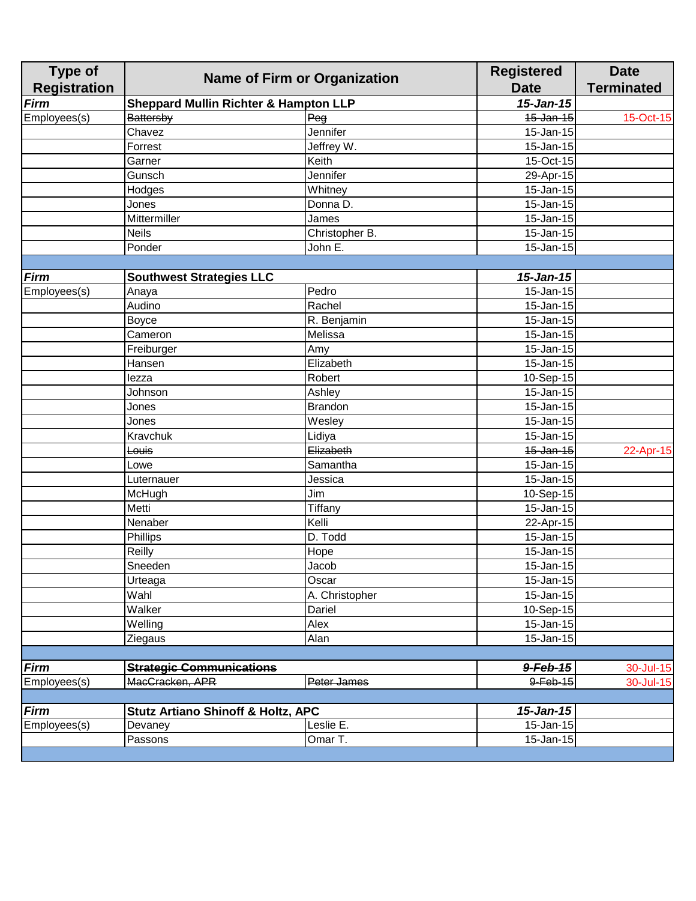| 15-Jan-15<br><b>Firm</b><br><b>Sheppard Mullin Richter &amp; Hampton LLP</b><br>Employees(s)<br>15-Jan-15<br><b>Battersby</b><br>Peg<br>15-Oct-15<br>Jennifer<br>15-Jan-15<br>Chavez<br>15-Jan-15<br>Forrest<br>Jeffrey W.<br>Keith<br>15-Oct-15<br>Garner<br>Gunsch<br>Jennifer<br>29-Apr-15<br>15-Jan-15<br>Whitney<br>Hodges<br>15-Jan-15<br>Donna D.<br>Jones<br>Mittermiller<br>15-Jan-15<br>James<br><b>Neils</b><br>Christopher B.<br>15-Jan-15<br>Ponder<br>15-Jan-15<br>John E.<br>$15 - Jan-15$<br><b>Firm</b><br><b>Southwest Strategies LLC</b><br>Pedro<br>15-Jan-15<br>Employees(s)<br>Anaya<br>Rachel<br>Audino<br>15-Jan-15<br>$\overline{15}$ -Jan-15<br>R. Benjamin<br><b>Boyce</b><br>Melissa<br>15-Jan-15<br>Cameron<br>15-Jan-15<br>Freiburger<br>Amy<br>Elizabeth<br>15-Jan-15<br>Hansen<br>Robert<br>10-Sep-15<br>lezza<br>15-Jan-15<br>Johnson<br>Ashley<br><b>Brandon</b><br>15-Jan-15<br>Jones<br>15-Jan-15<br>Wesley<br>Jones<br>Lidiya<br>15-Jan-15<br>Kravchuk<br>Elizabeth<br>15-Jan-15<br>Louis<br>Samantha<br>15-Jan-15<br>Lowe<br>15-Jan-15<br>Luternauer<br>Jessica<br>Jim<br>10-Sep-15<br>McHugh<br>Metti<br>Tiffany<br>15-Jan-15<br>Kelli<br>Nenaber<br>22-Apr-15<br>Phillips<br>D. Todd<br>15-Jan-15<br>Reilly<br>15-Jan-15<br>Hope<br>Sneeden<br>15-Jan-15<br>Jacob<br>Oscar<br>15-Jan-15<br>Urteaga<br>15-Jan-15<br>Wahl<br>A. Christopher<br>Walker<br>10-Sep-15<br>Dariel<br>Welling<br>Alex<br>$\overline{15}$ -Jan-15<br>Alan<br>15-Jan-15<br>Ziegaus<br><b>Firm</b><br><b>Strategic Communications</b><br>9-Feb-15<br>Employees(s)<br>MacCracken, APR<br>$9 - Feb - 15$<br>Peter James<br><b>Firm</b><br><b>Stutz Artiano Shinoff &amp; Holtz, APC</b><br>$15 - Jan - 15$<br>Employees(s)<br>Leslie E.<br>Devaney<br>15-Jan-15 | <b>Type of</b><br><b>Registration</b> | <b>Name of Firm or Organization</b> |         | <b>Registered</b><br><b>Date</b> | <b>Date</b><br><b>Terminated</b> |
|----------------------------------------------------------------------------------------------------------------------------------------------------------------------------------------------------------------------------------------------------------------------------------------------------------------------------------------------------------------------------------------------------------------------------------------------------------------------------------------------------------------------------------------------------------------------------------------------------------------------------------------------------------------------------------------------------------------------------------------------------------------------------------------------------------------------------------------------------------------------------------------------------------------------------------------------------------------------------------------------------------------------------------------------------------------------------------------------------------------------------------------------------------------------------------------------------------------------------------------------------------------------------------------------------------------------------------------------------------------------------------------------------------------------------------------------------------------------------------------------------------------------------------------------------------------------------------------------------------------------------------------------------------------------------------------------------------------------------------------------------------------------------|---------------------------------------|-------------------------------------|---------|----------------------------------|----------------------------------|
|                                                                                                                                                                                                                                                                                                                                                                                                                                                                                                                                                                                                                                                                                                                                                                                                                                                                                                                                                                                                                                                                                                                                                                                                                                                                                                                                                                                                                                                                                                                                                                                                                                                                                                                                                                            |                                       |                                     |         |                                  |                                  |
|                                                                                                                                                                                                                                                                                                                                                                                                                                                                                                                                                                                                                                                                                                                                                                                                                                                                                                                                                                                                                                                                                                                                                                                                                                                                                                                                                                                                                                                                                                                                                                                                                                                                                                                                                                            |                                       |                                     |         |                                  |                                  |
|                                                                                                                                                                                                                                                                                                                                                                                                                                                                                                                                                                                                                                                                                                                                                                                                                                                                                                                                                                                                                                                                                                                                                                                                                                                                                                                                                                                                                                                                                                                                                                                                                                                                                                                                                                            |                                       |                                     |         |                                  |                                  |
|                                                                                                                                                                                                                                                                                                                                                                                                                                                                                                                                                                                                                                                                                                                                                                                                                                                                                                                                                                                                                                                                                                                                                                                                                                                                                                                                                                                                                                                                                                                                                                                                                                                                                                                                                                            |                                       |                                     |         |                                  |                                  |
|                                                                                                                                                                                                                                                                                                                                                                                                                                                                                                                                                                                                                                                                                                                                                                                                                                                                                                                                                                                                                                                                                                                                                                                                                                                                                                                                                                                                                                                                                                                                                                                                                                                                                                                                                                            |                                       |                                     |         |                                  |                                  |
|                                                                                                                                                                                                                                                                                                                                                                                                                                                                                                                                                                                                                                                                                                                                                                                                                                                                                                                                                                                                                                                                                                                                                                                                                                                                                                                                                                                                                                                                                                                                                                                                                                                                                                                                                                            |                                       |                                     |         |                                  |                                  |
|                                                                                                                                                                                                                                                                                                                                                                                                                                                                                                                                                                                                                                                                                                                                                                                                                                                                                                                                                                                                                                                                                                                                                                                                                                                                                                                                                                                                                                                                                                                                                                                                                                                                                                                                                                            |                                       |                                     |         |                                  |                                  |
|                                                                                                                                                                                                                                                                                                                                                                                                                                                                                                                                                                                                                                                                                                                                                                                                                                                                                                                                                                                                                                                                                                                                                                                                                                                                                                                                                                                                                                                                                                                                                                                                                                                                                                                                                                            |                                       |                                     |         |                                  |                                  |
|                                                                                                                                                                                                                                                                                                                                                                                                                                                                                                                                                                                                                                                                                                                                                                                                                                                                                                                                                                                                                                                                                                                                                                                                                                                                                                                                                                                                                                                                                                                                                                                                                                                                                                                                                                            |                                       |                                     |         |                                  |                                  |
|                                                                                                                                                                                                                                                                                                                                                                                                                                                                                                                                                                                                                                                                                                                                                                                                                                                                                                                                                                                                                                                                                                                                                                                                                                                                                                                                                                                                                                                                                                                                                                                                                                                                                                                                                                            |                                       |                                     |         |                                  |                                  |
|                                                                                                                                                                                                                                                                                                                                                                                                                                                                                                                                                                                                                                                                                                                                                                                                                                                                                                                                                                                                                                                                                                                                                                                                                                                                                                                                                                                                                                                                                                                                                                                                                                                                                                                                                                            |                                       |                                     |         |                                  |                                  |
|                                                                                                                                                                                                                                                                                                                                                                                                                                                                                                                                                                                                                                                                                                                                                                                                                                                                                                                                                                                                                                                                                                                                                                                                                                                                                                                                                                                                                                                                                                                                                                                                                                                                                                                                                                            |                                       |                                     |         |                                  |                                  |
|                                                                                                                                                                                                                                                                                                                                                                                                                                                                                                                                                                                                                                                                                                                                                                                                                                                                                                                                                                                                                                                                                                                                                                                                                                                                                                                                                                                                                                                                                                                                                                                                                                                                                                                                                                            |                                       |                                     |         |                                  |                                  |
|                                                                                                                                                                                                                                                                                                                                                                                                                                                                                                                                                                                                                                                                                                                                                                                                                                                                                                                                                                                                                                                                                                                                                                                                                                                                                                                                                                                                                                                                                                                                                                                                                                                                                                                                                                            |                                       |                                     |         |                                  |                                  |
|                                                                                                                                                                                                                                                                                                                                                                                                                                                                                                                                                                                                                                                                                                                                                                                                                                                                                                                                                                                                                                                                                                                                                                                                                                                                                                                                                                                                                                                                                                                                                                                                                                                                                                                                                                            |                                       |                                     |         |                                  |                                  |
|                                                                                                                                                                                                                                                                                                                                                                                                                                                                                                                                                                                                                                                                                                                                                                                                                                                                                                                                                                                                                                                                                                                                                                                                                                                                                                                                                                                                                                                                                                                                                                                                                                                                                                                                                                            |                                       |                                     |         |                                  |                                  |
|                                                                                                                                                                                                                                                                                                                                                                                                                                                                                                                                                                                                                                                                                                                                                                                                                                                                                                                                                                                                                                                                                                                                                                                                                                                                                                                                                                                                                                                                                                                                                                                                                                                                                                                                                                            |                                       |                                     |         |                                  |                                  |
|                                                                                                                                                                                                                                                                                                                                                                                                                                                                                                                                                                                                                                                                                                                                                                                                                                                                                                                                                                                                                                                                                                                                                                                                                                                                                                                                                                                                                                                                                                                                                                                                                                                                                                                                                                            |                                       |                                     |         |                                  |                                  |
|                                                                                                                                                                                                                                                                                                                                                                                                                                                                                                                                                                                                                                                                                                                                                                                                                                                                                                                                                                                                                                                                                                                                                                                                                                                                                                                                                                                                                                                                                                                                                                                                                                                                                                                                                                            |                                       |                                     |         |                                  |                                  |
|                                                                                                                                                                                                                                                                                                                                                                                                                                                                                                                                                                                                                                                                                                                                                                                                                                                                                                                                                                                                                                                                                                                                                                                                                                                                                                                                                                                                                                                                                                                                                                                                                                                                                                                                                                            |                                       |                                     |         |                                  |                                  |
|                                                                                                                                                                                                                                                                                                                                                                                                                                                                                                                                                                                                                                                                                                                                                                                                                                                                                                                                                                                                                                                                                                                                                                                                                                                                                                                                                                                                                                                                                                                                                                                                                                                                                                                                                                            |                                       |                                     |         |                                  |                                  |
|                                                                                                                                                                                                                                                                                                                                                                                                                                                                                                                                                                                                                                                                                                                                                                                                                                                                                                                                                                                                                                                                                                                                                                                                                                                                                                                                                                                                                                                                                                                                                                                                                                                                                                                                                                            |                                       |                                     |         |                                  |                                  |
|                                                                                                                                                                                                                                                                                                                                                                                                                                                                                                                                                                                                                                                                                                                                                                                                                                                                                                                                                                                                                                                                                                                                                                                                                                                                                                                                                                                                                                                                                                                                                                                                                                                                                                                                                                            |                                       |                                     |         |                                  |                                  |
|                                                                                                                                                                                                                                                                                                                                                                                                                                                                                                                                                                                                                                                                                                                                                                                                                                                                                                                                                                                                                                                                                                                                                                                                                                                                                                                                                                                                                                                                                                                                                                                                                                                                                                                                                                            |                                       |                                     |         |                                  |                                  |
|                                                                                                                                                                                                                                                                                                                                                                                                                                                                                                                                                                                                                                                                                                                                                                                                                                                                                                                                                                                                                                                                                                                                                                                                                                                                                                                                                                                                                                                                                                                                                                                                                                                                                                                                                                            |                                       |                                     |         |                                  | 22-Apr-15                        |
|                                                                                                                                                                                                                                                                                                                                                                                                                                                                                                                                                                                                                                                                                                                                                                                                                                                                                                                                                                                                                                                                                                                                                                                                                                                                                                                                                                                                                                                                                                                                                                                                                                                                                                                                                                            |                                       |                                     |         |                                  |                                  |
|                                                                                                                                                                                                                                                                                                                                                                                                                                                                                                                                                                                                                                                                                                                                                                                                                                                                                                                                                                                                                                                                                                                                                                                                                                                                                                                                                                                                                                                                                                                                                                                                                                                                                                                                                                            |                                       |                                     |         |                                  |                                  |
|                                                                                                                                                                                                                                                                                                                                                                                                                                                                                                                                                                                                                                                                                                                                                                                                                                                                                                                                                                                                                                                                                                                                                                                                                                                                                                                                                                                                                                                                                                                                                                                                                                                                                                                                                                            |                                       |                                     |         |                                  |                                  |
|                                                                                                                                                                                                                                                                                                                                                                                                                                                                                                                                                                                                                                                                                                                                                                                                                                                                                                                                                                                                                                                                                                                                                                                                                                                                                                                                                                                                                                                                                                                                                                                                                                                                                                                                                                            |                                       |                                     |         |                                  |                                  |
|                                                                                                                                                                                                                                                                                                                                                                                                                                                                                                                                                                                                                                                                                                                                                                                                                                                                                                                                                                                                                                                                                                                                                                                                                                                                                                                                                                                                                                                                                                                                                                                                                                                                                                                                                                            |                                       |                                     |         |                                  |                                  |
|                                                                                                                                                                                                                                                                                                                                                                                                                                                                                                                                                                                                                                                                                                                                                                                                                                                                                                                                                                                                                                                                                                                                                                                                                                                                                                                                                                                                                                                                                                                                                                                                                                                                                                                                                                            |                                       |                                     |         |                                  |                                  |
|                                                                                                                                                                                                                                                                                                                                                                                                                                                                                                                                                                                                                                                                                                                                                                                                                                                                                                                                                                                                                                                                                                                                                                                                                                                                                                                                                                                                                                                                                                                                                                                                                                                                                                                                                                            |                                       |                                     |         |                                  |                                  |
|                                                                                                                                                                                                                                                                                                                                                                                                                                                                                                                                                                                                                                                                                                                                                                                                                                                                                                                                                                                                                                                                                                                                                                                                                                                                                                                                                                                                                                                                                                                                                                                                                                                                                                                                                                            |                                       |                                     |         |                                  |                                  |
|                                                                                                                                                                                                                                                                                                                                                                                                                                                                                                                                                                                                                                                                                                                                                                                                                                                                                                                                                                                                                                                                                                                                                                                                                                                                                                                                                                                                                                                                                                                                                                                                                                                                                                                                                                            |                                       |                                     |         |                                  |                                  |
|                                                                                                                                                                                                                                                                                                                                                                                                                                                                                                                                                                                                                                                                                                                                                                                                                                                                                                                                                                                                                                                                                                                                                                                                                                                                                                                                                                                                                                                                                                                                                                                                                                                                                                                                                                            |                                       |                                     |         |                                  |                                  |
|                                                                                                                                                                                                                                                                                                                                                                                                                                                                                                                                                                                                                                                                                                                                                                                                                                                                                                                                                                                                                                                                                                                                                                                                                                                                                                                                                                                                                                                                                                                                                                                                                                                                                                                                                                            |                                       |                                     |         |                                  |                                  |
|                                                                                                                                                                                                                                                                                                                                                                                                                                                                                                                                                                                                                                                                                                                                                                                                                                                                                                                                                                                                                                                                                                                                                                                                                                                                                                                                                                                                                                                                                                                                                                                                                                                                                                                                                                            |                                       |                                     |         |                                  |                                  |
|                                                                                                                                                                                                                                                                                                                                                                                                                                                                                                                                                                                                                                                                                                                                                                                                                                                                                                                                                                                                                                                                                                                                                                                                                                                                                                                                                                                                                                                                                                                                                                                                                                                                                                                                                                            |                                       |                                     |         |                                  |                                  |
|                                                                                                                                                                                                                                                                                                                                                                                                                                                                                                                                                                                                                                                                                                                                                                                                                                                                                                                                                                                                                                                                                                                                                                                                                                                                                                                                                                                                                                                                                                                                                                                                                                                                                                                                                                            |                                       |                                     |         |                                  |                                  |
|                                                                                                                                                                                                                                                                                                                                                                                                                                                                                                                                                                                                                                                                                                                                                                                                                                                                                                                                                                                                                                                                                                                                                                                                                                                                                                                                                                                                                                                                                                                                                                                                                                                                                                                                                                            |                                       |                                     |         |                                  | 30-Jul-15                        |
|                                                                                                                                                                                                                                                                                                                                                                                                                                                                                                                                                                                                                                                                                                                                                                                                                                                                                                                                                                                                                                                                                                                                                                                                                                                                                                                                                                                                                                                                                                                                                                                                                                                                                                                                                                            |                                       |                                     |         |                                  | 30-Jul-15                        |
|                                                                                                                                                                                                                                                                                                                                                                                                                                                                                                                                                                                                                                                                                                                                                                                                                                                                                                                                                                                                                                                                                                                                                                                                                                                                                                                                                                                                                                                                                                                                                                                                                                                                                                                                                                            |                                       |                                     |         |                                  |                                  |
|                                                                                                                                                                                                                                                                                                                                                                                                                                                                                                                                                                                                                                                                                                                                                                                                                                                                                                                                                                                                                                                                                                                                                                                                                                                                                                                                                                                                                                                                                                                                                                                                                                                                                                                                                                            |                                       |                                     |         |                                  |                                  |
|                                                                                                                                                                                                                                                                                                                                                                                                                                                                                                                                                                                                                                                                                                                                                                                                                                                                                                                                                                                                                                                                                                                                                                                                                                                                                                                                                                                                                                                                                                                                                                                                                                                                                                                                                                            |                                       |                                     |         |                                  |                                  |
|                                                                                                                                                                                                                                                                                                                                                                                                                                                                                                                                                                                                                                                                                                                                                                                                                                                                                                                                                                                                                                                                                                                                                                                                                                                                                                                                                                                                                                                                                                                                                                                                                                                                                                                                                                            |                                       | Passons                             | Omar T. | 15-Jan-15                        |                                  |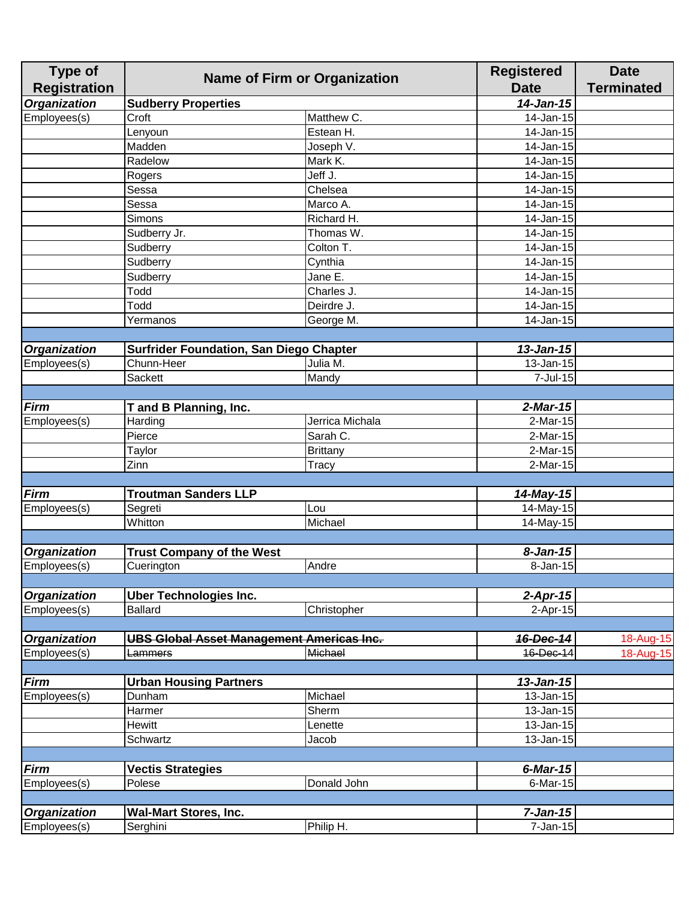| <b>Type of</b><br><b>Registration</b> | <b>Name of Firm or Organization</b>              |                 | <b>Registered</b><br><b>Date</b> | <b>Date</b><br><b>Terminated</b> |
|---------------------------------------|--------------------------------------------------|-----------------|----------------------------------|----------------------------------|
| <b>Organization</b>                   | <b>Sudberry Properties</b>                       |                 | $14$ -Jan-15                     |                                  |
| Employees(s)                          | Croft                                            | Matthew C.      | 14-Jan-15                        |                                  |
|                                       | Lenyoun                                          | Estean H.       | 14-Jan-15                        |                                  |
|                                       | Madden                                           | Joseph V.       | 14-Jan-15                        |                                  |
|                                       | Radelow                                          | Mark K.         | 14-Jan-15                        |                                  |
|                                       | Rogers                                           | Jeff J.         | 14-Jan-15                        |                                  |
|                                       | Sessa                                            | Chelsea         | 14-Jan-15                        |                                  |
|                                       | Sessa                                            | Marco A.        | 14-Jan-15                        |                                  |
|                                       | Simons                                           | Richard H.      | 14-Jan-15                        |                                  |
|                                       | Sudberry Jr.                                     | Thomas W.       | 14-Jan-15                        |                                  |
|                                       | Sudberry                                         | Colton T.       | 14-Jan-15                        |                                  |
|                                       | Sudberry                                         | Cynthia         | $\overline{14}$ -Jan-15          |                                  |
|                                       | Sudberry                                         | Jane E.         | 14-Jan-15                        |                                  |
|                                       | Todd                                             | Charles J.      | $\overline{1}$ 4-Jan-15          |                                  |
|                                       | Todd                                             | Deirdre J.      | 14-Jan-15                        |                                  |
|                                       | Yermanos                                         | George M.       | 14-Jan-15                        |                                  |
|                                       |                                                  |                 |                                  |                                  |
| <b>Organization</b>                   | <b>Surfrider Foundation, San Diego Chapter</b>   |                 | $13$ -Jan-15                     |                                  |
| Employees(s)                          | Chunn-Heer                                       | Julia M.        | 13-Jan-15                        |                                  |
|                                       | <b>Sackett</b>                                   | Mandy           | 7-Jul-15                         |                                  |
| Firm                                  | T and B Planning, Inc.                           |                 | $2$ -Mar-15                      |                                  |
| Employees(s)                          | Harding                                          | Jerrica Michala | $2-Mar-15$                       |                                  |
|                                       | Pierce                                           | Sarah C.        | 2-Mar-15                         |                                  |
|                                       | Taylor                                           | <b>Brittany</b> | 2-Mar-15                         |                                  |
|                                       | Zinn                                             | Tracy           | 2-Mar-15                         |                                  |
|                                       |                                                  |                 |                                  |                                  |
| <b>Firm</b>                           | <b>Troutman Sanders LLP</b>                      |                 | 14-May-15                        |                                  |
| Employees(s)                          | Segreti                                          | Lou             | 14-May-15                        |                                  |
|                                       | Whitton                                          | Michael         | 14-May-15                        |                                  |
|                                       |                                                  |                 |                                  |                                  |
| <b>Organization</b>                   | <b>Trust Company of the West</b>                 |                 | $8 - Jan-15$                     |                                  |
| Employees(s)                          | Cuerington                                       | Andre           | $8 - Jan - 15$                   |                                  |
|                                       |                                                  |                 |                                  |                                  |
| <b>Organization</b>                   | <b>Uber Technologies Inc.</b>                    |                 | $2$ -Apr-15                      |                                  |
| Employees(s)                          | <b>Ballard</b>                                   | Christopher     | $2-Apr-15$                       |                                  |
|                                       |                                                  |                 |                                  |                                  |
| <b>Organization</b>                   | <b>UBS Global Asset Management Americas Inc.</b> |                 | <b>16-Dec-14</b>                 | 18-Aug-15                        |
| Employees(s)                          | Lammers                                          | Michael         | 16-Dec-14                        | 18-Aug-15                        |
|                                       |                                                  |                 |                                  |                                  |
| Firm                                  | <b>Urban Housing Partners</b>                    |                 | $13$ -Jan-15                     |                                  |
| Employees(s)                          | Dunham                                           | Michael         | 13-Jan-15                        |                                  |
|                                       | Harmer                                           | Sherm           | 13-Jan-15                        |                                  |
|                                       | <b>Hewitt</b>                                    | Lenette         | 13-Jan-15                        |                                  |
|                                       | Schwartz                                         | Jacob           | 13-Jan-15                        |                                  |
|                                       |                                                  |                 |                                  |                                  |
| <b>Firm</b>                           | <b>Vectis Strategies</b>                         |                 | $6$ -Mar-15                      |                                  |
| Employees(s)                          | Polese                                           | Donald John     | 6-Mar-15                         |                                  |
|                                       |                                                  |                 |                                  |                                  |
| <b>Organization</b>                   | <b>Wal-Mart Stores, Inc.</b>                     |                 | $7 - Jan-15$                     |                                  |
| Employees(s)                          | Serghini                                         | Philip H.       | $7 - Jan-15$                     |                                  |